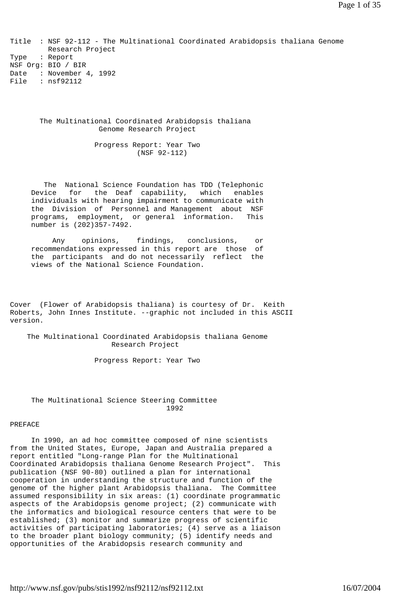Title : NSF 92-112 - The Multinational Coordinated Arabidopsis thaliana Genome Research Project Type : Report NSF Org: BIO / BIR Date : November 4, 1992 File : nsf92112

 The Multinational Coordinated Arabidopsis thaliana Genome Research Project

> Progress Report: Year Two (NSF 92-112)

 The National Science Foundation has TDD (Telephonic Device for the Deaf capability, which enables individuals with hearing impairment to communicate with the Division of Personnel and Management about NSF programs, employment, or general information. This number is (202)357-7492.

 Any opinions, findings, conclusions, or recommendations expressed in this report are those of the participants and do not necessarily reflect the views of the National Science Foundation.

Cover (Flower of Arabidopsis thaliana) is courtesy of Dr. Keith Roberts, John Innes Institute. --graphic not included in this ASCII version.

 The Multinational Coordinated Arabidopsis thaliana Genome Research Project

Progress Report: Year Two

## The Multinational Science Steering Committee 1992

### PREFACE

 In 1990, an ad hoc committee composed of nine scientists from the United States, Europe, Japan and Australia prepared a report entitled "Long-range Plan for the Multinational Coordinated Arabidopsis thaliana Genome Research Project". This publication (NSF 90-80) outlined a plan for international cooperation in understanding the structure and function of the genome of the higher plant Arabidopsis thaliana. The Committee assumed responsibility in six areas: (1) coordinate programmatic aspects of the Arabidopsis genome project; (2) communicate with the informatics and biological resource centers that were to be established; (3) monitor and summarize progress of scientific activities of participating laboratories; (4) serve as a liaison to the broader plant biology community; (5) identify needs and opportunities of the Arabidopsis research community and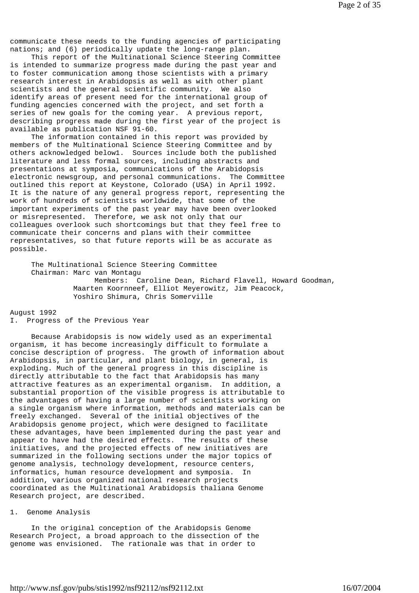communicate these needs to the funding agencies of participating nations; and (6) periodically update the long-range plan.

 This report of the Multinational Science Steering Committee is intended to summarize progress made during the past year and to foster communication among those scientists with a primary research interest in Arabidopsis as well as with other plant scientists and the general scientific community. We also identify areas of present need for the international group of funding agencies concerned with the project, and set forth a series of new goals for the coming year. A previous report, describing progress made during the first year of the project is available as publication NSF 91-60.

 The information contained in this report was provided by members of the Multinational Science Steering Committee and by others acknowledged below1. Sources include both the published literature and less formal sources, including abstracts and presentations at symposia, communications of the Arabidopsis electronic newsgroup, and personal communications. The Committee outlined this report at Keystone, Colorado (USA) in April 1992. It is the nature of any general progress report, representing the work of hundreds of scientists worldwide, that some of the important experiments of the past year may have been overlooked or misrepresented. Therefore, we ask not only that our colleagues overlook such shortcomings but that they feel free to communicate their concerns and plans with their committee representatives, so that future reports will be as accurate as possible.

 The Multinational Science Steering Committee Chairman: Marc van Montagu Members: Caroline Dean, Richard Flavell, Howard Goodman, Maarten Koornneef, Elliot Meyerowitz, Jim Peacock, Yoshiro Shimura, Chris Somerville

## August 1992

# I. Progress of the Previous Year

 Because Arabidopsis is now widely used as an experimental organism, it has become increasingly difficult to formulate a concise description of progress. The growth of information about Arabidopsis, in particular, and plant biology, in general, is exploding. Much of the general progress in this discipline is directly attributable to the fact that Arabidopsis has many attractive features as an experimental organism. In addition, a substantial proportion of the visible progress is attributable to the advantages of having a large number of scientists working on a single organism where information, methods and materials can be freely exchanged. Several of the initial objectives of the Arabidopsis genome project, which were designed to facilitate these advantages, have been implemented during the past year and appear to have had the desired effects. The results of these initiatives, and the projected effects of new initiatives are summarized in the following sections under the major topics of genome analysis, technology development, resource centers, informatics, human resource development and symposia. In addition, various organized national research projects coordinated as the Multinational Arabidopsis thaliana Genome Research project, are described.

# 1. Genome Analysis

 In the original conception of the Arabidopsis Genome Research Project, a broad approach to the dissection of the genome was envisioned. The rationale was that in order to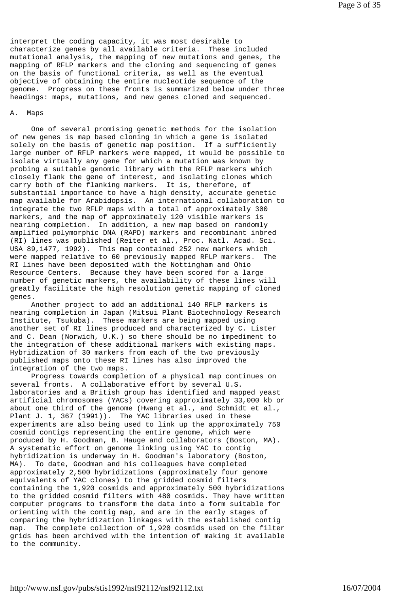interpret the coding capacity, it was most desirable to characterize genes by all available criteria. These included mutational analysis, the mapping of new mutations and genes, the mapping of RFLP markers and the cloning and sequencing of genes on the basis of functional criteria, as well as the eventual objective of obtaining the entire nucleotide sequence of the genome. Progress on these fronts is summarized below under three headings: maps, mutations, and new genes cloned and sequenced.

#### A. Maps

 One of several promising genetic methods for the isolation of new genes is map based cloning in which a gene is isolated solely on the basis of genetic map position. If a sufficiently large number of RFLP markers were mapped, it would be possible to isolate virtually any gene for which a mutation was known by probing a suitable genomic library with the RFLP markers which closely flank the gene of interest, and isolating clones which carry both of the flanking markers. It is, therefore, of substantial importance to have a high density, accurate genetic map available for Arabidopsis. An international collaboration to integrate the two RFLP maps with a total of approximately 300 markers, and the map of approximately 120 visible markers is nearing completion. In addition, a new map based on randomly amplified polymorphic DNA (RAPD) markers and recombinant inbred (RI) lines was published (Reiter et al., Proc. Natl. Acad. Sci. USA 89,1477, 1992). This map contained 252 new markers which were mapped relative to 60 previously mapped RFLP markers. The RI lines have been deposited with the Nottingham and Ohio Resource Centers. Because they have been scored for a large number of genetic markers, the availability of these lines will greatly facilitate the high resolution genetic mapping of cloned genes.

 Another project to add an additional 140 RFLP markers is nearing completion in Japan (Mitsui Plant Biotechnology Research Institute, Tsukuba). These markers are being mapped using another set of RI lines produced and characterized by C. Lister and C. Dean (Norwich, U.K.) so there should be no impediment to the integration of these additional markers with existing maps. Hybridization of 30 markers from each of the two previously published maps onto these RI lines has also improved the integration of the two maps.

 Progress towards completion of a physical map continues on several fronts. A collaborative effort by several U.S. laboratories and a British group has identified and mapped yeast artificial chromosomes (YACs) covering approximately 33,000 kb or about one third of the genome (Hwang et al., and Schmidt et al., Plant J. 1, 367 (1991)). The YAC libraries used in these experiments are also being used to link up the approximately 750 cosmid contigs representing the entire genome, which were produced by H. Goodman, B. Hauge and collaborators (Boston, MA). A systematic effort on genome linking using YAC to contig hybridization is underway in H. Goodman's laboratory (Boston, MA). To date, Goodman and his colleagues have completed approximately 2,500 hybridizations (approximately four genome equivalents of YAC clones) to the gridded cosmid filters containing the 1,920 cosmids and approximately 500 hybridizations to the gridded cosmid filters with 480 cosmids. They have written computer programs to transform the data into a form suitable for orienting with the contig map, and are in the early stages of comparing the hybridization linkages with the established contig map. The complete collection of 1,920 cosmids used on the filter grids has been archived with the intention of making it available to the community.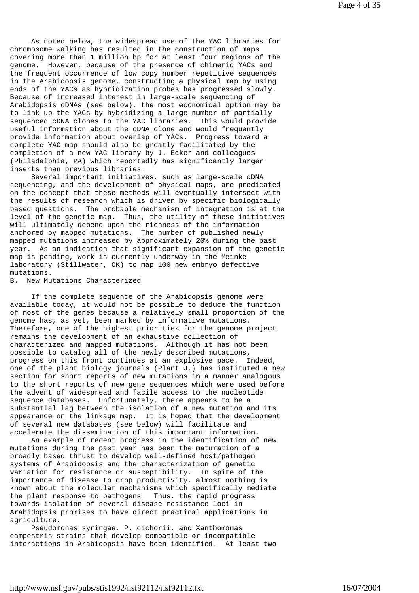As noted below, the widespread use of the YAC libraries for chromosome walking has resulted in the construction of maps covering more than 1 million bp for at least four regions of the genome. However, because of the presence of chimeric YACs and the frequent occurrence of low copy number repetitive sequences in the Arabidopsis genome, constructing a physical map by using ends of the YACs as hybridization probes has progressed slowly. Because of increased interest in large-scale sequencing of Arabidopsis cDNAs (see below), the most economical option may be to link up the YACs by hybridizing a large number of partially sequenced cDNA clones to the YAC libraries. This would provide useful information about the cDNA clone and would frequently provide information about overlap of YACs. Progress toward a complete YAC map should also be greatly facilitated by the completion of a new YAC library by J. Ecker and colleagues (Philadelphia, PA) which reportedly has significantly larger inserts than previous libraries.

 Several important initiatives, such as large-scale cDNA sequencing, and the development of physical maps, are predicated on the concept that these methods will eventually intersect with the results of research which is driven by specific biologically based questions. The probable mechanism of integration is at the level of the genetic map. Thus, the utility of these initiatives will ultimately depend upon the richness of the information anchored by mapped mutations. The number of published newly mapped mutations increased by approximately 20% during the past year. As an indication that significant expansion of the genetic map is pending, work is currently underway in the Meinke laboratory (Stillwater, OK) to map 100 new embryo defective mutations.

B. New Mutations Characterized

 If the complete sequence of the Arabidopsis genome were available today, it would not be possible to deduce the function of most of the genes because a relatively small proportion of the genome has, as yet, been marked by informative mutations. Therefore, one of the highest priorities for the genome project remains the development of an exhaustive collection of characterized and mapped mutations. Although it has not been possible to catalog all of the newly described mutations, progress on this front continues at an explosive pace. Indeed, one of the plant biology journals (Plant J.) has instituted a new section for short reports of new mutations in a manner analogous to the short reports of new gene sequences which were used before the advent of widespread and facile access to the nucleotide sequence databases. Unfortunately, there appears to be a substantial lag between the isolation of a new mutation and its appearance on the linkage map. It is hoped that the development of several new databases (see below) will facilitate and accelerate the dissemination of this important information.

 An example of recent progress in the identification of new mutations during the past year has been the maturation of a broadly based thrust to develop well-defined host/pathogen systems of Arabidopsis and the characterization of genetic variation for resistance or susceptibility. In spite of the importance of disease to crop productivity, almost nothing is known about the molecular mechanisms which specifically mediate the plant response to pathogens. Thus, the rapid progress towards isolation of several disease resistance loci in Arabidopsis promises to have direct practical applications in agriculture.

 Pseudomonas syringae, P. cichorii, and Xanthomonas campestris strains that develop compatible or incompatible interactions in Arabidopsis have been identified. At least two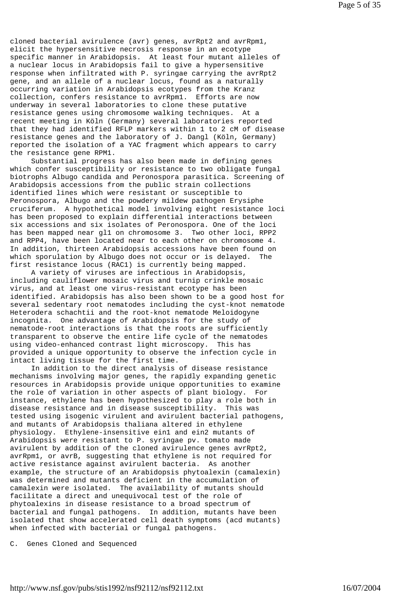cloned bacterial avirulence (avr) genes, avrRpt2 and avrRpm1, elicit the hypersensitive necrosis response in an ecotype specific manner in Arabidopsis. At least four mutant alleles of a nuclear locus in Arabidopsis fail to give a hypersensitive response when infiltrated with P. syringae carrying the avrRpt2 gene, and an allele of a nuclear locus, found as a naturally occurring variation in Arabidopsis ecotypes from the Kranz collection, confers resistance to avrRpm1. Efforts are now underway in several laboratories to clone these putative resistance genes using chromosome walking techniques. At a recent meeting in Köln (Germany) several laboratories reported that they had identified RFLP markers within 1 to 2 cM of disease resistance genes and the laboratory of J. Dangl (Köln, Germany) reported the isolation of a YAC fragment which appears to carry the resistance gene RPM1.

 Substantial progress has also been made in defining genes which confer susceptibility or resistance to two obligate fungal biotrophs Albugo candida and Peronospora parasitica. Screening of Arabidopsis accessions from the public strain collections identified lines which were resistant or susceptible to Peronospora, Albugo and the powdery mildew pathogen Erysiphe cruciferum. A hypothetical model involving eight resistance loci has been proposed to explain differential interactions between six accessions and six isolates of Peronospora. One of the loci has been mapped near gl1 on chromosome 3. Two other loci, RPP2 and RPP4, have been located near to each other on chromosome 4. In addition, thirteen Arabidopsis accessions have been found on which sporulation by Albugo does not occur or is delayed. The first resistance locus (RAC1) is currently being mapped.

 A variety of viruses are infectious in Arabidopsis, including cauliflower mosaic virus and turnip crinkle mosaic virus, and at least one virus-resistant ecotype has been identified. Arabidopsis has also been shown to be a good host for several sedentary root nematodes including the cyst-knot nematode Heterodera schachtii and the root-knot nematode Meloidogyne incognita. One advantage of Arabidopsis for the study of nematode-root interactions is that the roots are sufficiently transparent to observe the entire life cycle of the nematodes using video-enhanced contrast light microscopy. This has provided a unique opportunity to observe the infection cycle in intact living tissue for the first time.

 In addition to the direct analysis of disease resistance mechanisms involving major genes, the rapidly expanding genetic resources in Arabidopsis provide unique opportunities to examine the role of variation in other aspects of plant biology. For instance, ethylene has been hypothesized to play a role both in disease resistance and in disease susceptibility. This was tested using isogenic virulent and avirulent bacterial pathogens, and mutants of Arabidopsis thaliana altered in ethylene physiology. Ethylene-insensitive ein1 and ein2 mutants of Arabidopsis were resistant to P. syringae pv. tomato made avirulent by addition of the cloned avirulence genes avrRpt2, avrRpm1, or avrB, suggesting that ethylene is not required for active resistance against avirulent bacteria. As another example, the structure of an Arabidopsis phytoalexin (camalexin) was determined and mutants deficient in the accumulation of camalexin were isolated. The availability of mutants should facilitate a direct and unequivocal test of the role of phytoalexins in disease resistance to a broad spectrum of bacterial and fungal pathogens. In addition, mutants have been isolated that show accelerated cell death symptoms (acd mutants) when infected with bacterial or fungal pathogens.

C. Genes Cloned and Sequenced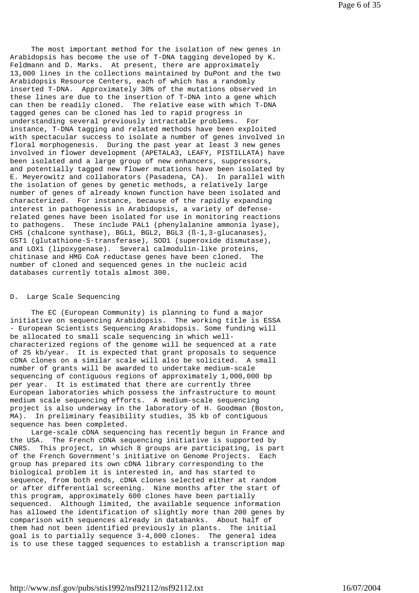The most important method for the isolation of new genes in Arabidopsis has become the use of T-DNA tagging developed by K. Feldmann and D. Marks. At present, there are approximately 13,000 lines in the collections maintained by DuPont and the two Arabidopsis Resource Centers, each of which has a randomly inserted T-DNA. Approximately 30% of the mutations observed in these lines are due to the insertion of T-DNA into a gene which can then be readily cloned. The relative ease with which T-DNA tagged genes can be cloned has led to rapid progress in understanding several previously intractable problems. For instance, T-DNA tagging and related methods have been exploited with spectacular success to isolate a number of genes involved in floral morphogenesis. During the past year at least 3 new genes involved in flower development (APETALA3, LEAFY, PISTILLATA) have been isolated and a large group of new enhancers, suppressors, and potentially tagged new flower mutations have been isolated by E. Meyerowitz and collaborators (Pasadena, CA). In parallel with the isolation of genes by genetic methods, a relatively large number of genes of already known function have been isolated and characterized. For instance, because of the rapidly expanding interest in pathogenesis in Arabidopsis, a variety of defenserelated genes have been isolated for use in monitoring reactions to pathogens. These include PAL1 (phenylalanine ammonia lyase), CHS (chalcone synthase), BGL1, BGL2, BGL3 (ß-1,3-glucanases), GST1 (glutathione-S-transferase), SOD1 (superoxide dismutase), and LOX1 (lipoxygenase). Several calmodulin-like proteins, chitinase and HMG CoA reductase genes have been cloned. The number of cloned and sequenced genes in the nucleic acid databases currently totals almost 300.

## D. Large Scale Sequencing

 The EC (European Community) is planning to fund a major initiative on sequencing Arabidopsis. The working title is ESSA - European Scientists Sequencing Arabidopsis. Some funding will be allocated to small scale sequencing in which wellcharacterized regions of the genome will be sequenced at a rate of 25 kb/year. It is expected that grant proposals to sequence cDNA clones on a similar scale will also be solicited. A small number of grants will be awarded to undertake medium-scale sequencing of contiguous regions of approximately 1,000,000 bp per year. It is estimated that there are currently three European laboratories which possess the infrastructure to mount medium scale sequencing efforts. A medium-scale sequencing project is also underway in the laboratory of H. Goodman (Boston, MA). In preliminary feasibility studies, 35 kb of contiguous sequence has been completed.

 Large-scale cDNA sequencing has recently begun in France and the USA. The French cDNA sequencing initiative is supported by CNRS. This project, in which 8 groups are participating, is part of the French Government's initiative on Genome Projects. Each group has prepared its own cDNA library corresponding to the biological problem it is interested in, and has started to sequence, from both ends, cDNA clones selected either at random or after differential screening. Nine months after the start of this program, approximately 600 clones have been partially sequenced. Although limited, the available sequence information has allowed the identification of slightly more than 200 genes by comparison with sequences already in databanks. About half of them had not been identified previously in plants. The initial goal is to partially sequence 3-4,000 clones. The general idea is to use these tagged sequences to establish a transcription map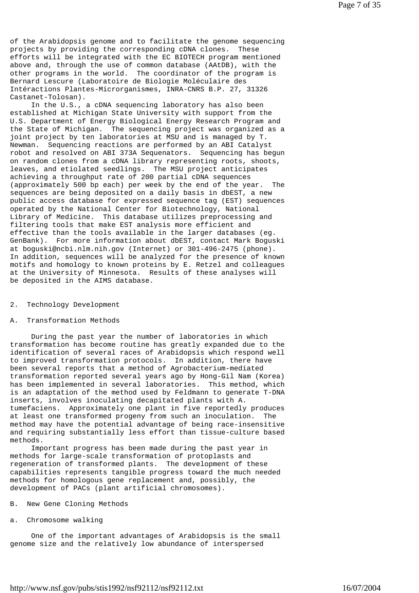of the Arabidopsis genome and to facilitate the genome sequencing projects by providing the corresponding cDNA clones. These efforts will be integrated with the EC BIOTECH program mentioned above and, through the use of common database (AAtDB), with the other programs in the world. The coordinator of the program is Bernard Lescure (Laboratoire de Biologie Moléculaire des Intéractions Plantes-Microrganismes, INRA-CNRS B.P. 27, 31326 Castanet-Tolosan).

 In the U.S., a cDNA sequencing laboratory has also been established at Michigan State University with support from the U.S. Department of Energy Biological Energy Research Program and the State of Michigan. The sequencing project was organized as a joint project by ten laboratories at MSU and is managed by T. Newman. Sequencing reactions are performed by an ABI Catalyst robot and resolved on ABI 373A Sequenators. Sequencing has begun on random clones from a cDNA library representing roots, shoots, leaves, and etiolated seedlings. The MSU project anticipates achieving a throughput rate of 200 partial cDNA sequences (approximately 500 bp each) per week by the end of the year. The sequences are being deposited on a daily basis in dbEST, a new public access database for expressed sequence tag (EST) sequences operated by the National Center for Biotechnology, National Library of Medicine. This database utilizes preprocessing and filtering tools that make EST analysis more efficient and effective than the tools available in the larger databases (eg. GenBank). For more information about dbEST, contact Mark Boguski at boguski@ncbi.nlm.nih.gov (Internet) or 301-496-2475 (phone). In addition, sequences will be analyzed for the presence of known motifs and homology to known proteins by E. Retzel and colleagues at the University of Minnesota. Results of these analyses will be deposited in the AIMS database.

## 2. Technology Development

## A. Transformation Methods

 During the past year the number of laboratories in which transformation has become routine has greatly expanded due to the identification of several races of Arabidopsis which respond well to improved transformation protocols. In addition, there have been several reports that a method of Agrobacterium-mediated transformation reported several years ago by Hong-Gil Nam (Korea) has been implemented in several laboratories. This method, which is an adaptation of the method used by Feldmann to generate T-DNA inserts, involves inoculating decapitated plants with A. tumefaciens. Approximately one plant in five reportedly produces at least one transformed progeny from such an inoculation. The method may have the potential advantage of being race-insensitive and requiring substantially less effort than tissue-culture based methods.

 Important progress has been made during the past year in methods for large-scale transformation of protoplasts and regeneration of transformed plants. The development of these capabilities represents tangible progress toward the much needed methods for homologous gene replacement and, possibly, the development of PACs (plant artificial chromosomes).

## B. New Gene Cloning Methods

# a. Chromosome walking

 One of the important advantages of Arabidopsis is the small genome size and the relatively low abundance of interspersed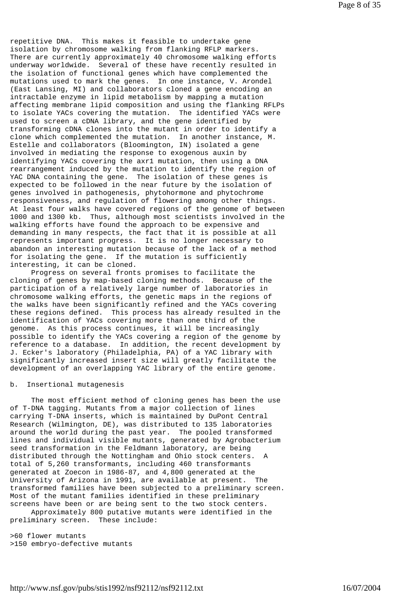repetitive DNA. This makes it feasible to undertake gene isolation by chromosome walking from flanking RFLP markers. There are currently approximately 40 chromosome walking efforts underway worldwide. Several of these have recently resulted in the isolation of functional genes which have complemented the mutations used to mark the genes. In one instance, V. Arondel (East Lansing, MI) and collaborators cloned a gene encoding an intractable enzyme in lipid metabolism by mapping a mutation affecting membrane lipid composition and using the flanking RFLPs to isolate YACs covering the mutation. The identified YACs were used to screen a cDNA library, and the gene identified by transforming cDNA clones into the mutant in order to identify a clone which complemented the mutation. In another instance, M. Estelle and collaborators (Bloomington, IN) isolated a gene involved in mediating the response to exogenous auxin by identifying YACs covering the axr1 mutation, then using a DNA rearrangement induced by the mutation to identify the region of YAC DNA containing the gene. The isolation of these genes is expected to be followed in the near future by the isolation of genes involved in pathogenesis, phytohormone and phytochrome responsiveness, and regulation of flowering among other things. At least four walks have covered regions of the genome of between 1000 and 1300 kb. Thus, although most scientists involved in the walking efforts have found the approach to be expensive and demanding in many respects, the fact that it is possible at all represents important progress. It is no longer necessary to abandon an interesting mutation because of the lack of a method for isolating the gene. If the mutation is sufficiently interesting, it can be cloned.

 Progress on several fronts promises to facilitate the cloning of genes by map-based cloning methods. Because of the participation of a relatively large number of laboratories in chromosome walking efforts, the genetic maps in the regions of the walks have been significantly refined and the YACs covering these regions defined. This process has already resulted in the identification of YACs covering more than one third of the genome. As this process continues, it will be increasingly possible to identify the YACs covering a region of the genome by reference to a database. In addition, the recent development by J. Ecker's laboratory (Philadelphia, PA) of a YAC library with significantly increased insert size will greatly facilitate the development of an overlapping YAC library of the entire genome.

## b. Insertional mutagenesis

 The most efficient method of cloning genes has been the use of T-DNA tagging. Mutants from a major collection of lines carrying T-DNA inserts, which is maintained by DuPont Central Research (Wilmington, DE), was distributed to 135 laboratories around the world during the past year. The pooled transformed lines and individual visible mutants, generated by Agrobacterium seed transformation in the Feldmann laboratory, are being distributed through the Nottingham and Ohio stock centers. A total of 5,260 transformants, including 460 transformants generated at Zoecon in 1986-87, and 4,800 generated at the University of Arizona in 1991, are available at present. The transformed families have been subjected to a preliminary screen. Most of the mutant families identified in these preliminary screens have been or are being sent to the two stock centers.

 Approximately 800 putative mutants were identified in the preliminary screen. These include:

>60 flower mutants >150 embryo-defective mutants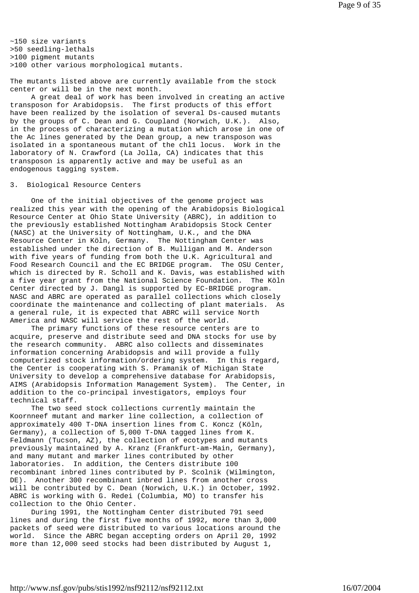~150 size variants >50 seedling-lethals >100 pigment mutants >100 other various morphological mutants.

The mutants listed above are currently available from the stock center or will be in the next month.

 A great deal of work has been involved in creating an active transposon for Arabidopsis. The first products of this effort have been realized by the isolation of several Ds-caused mutants by the groups of C. Dean and G. Coupland (Norwich, U.K.). Also, in the process of characterizing a mutation which arose in one of the Ac lines generated by the Dean group, a new transposon was isolated in a spontaneous mutant of the chl1 locus. Work in the laboratory of N. Crawford (La Jolla, CA) indicates that this transposon is apparently active and may be useful as an endogenous tagging system.

#### 3. Biological Resource Centers

 One of the initial objectives of the genome project was realized this year with the opening of the Arabidopsis Biological Resource Center at Ohio State University (ABRC), in addition to the previously established Nottingham Arabidopsis Stock Center (NASC) at the University of Nottingham, U.K., and the DNA Resource Center in Köln, Germany. The Nottingham Center was established under the direction of B. Mulligan and M. Anderson with five years of funding from both the U.K. Agricultural and Food Research Council and the EC BRIDGE program. The OSU Center, which is directed by R. Scholl and K. Davis, was established with a five year grant from the National Science Foundation. The Köln Center directed by J. Dangl is supported by EC-BRIDGE program. NASC and ABRC are operated as parallel collections which closely coordinate the maintenance and collecting of plant materials. As a general rule, it is expected that ABRC will service North America and NASC will service the rest of the world.

 The primary functions of these resource centers are to acquire, preserve and distribute seed and DNA stocks for use by the research community. ABRC also collects and disseminates information concerning Arabidopsis and will provide a fully computerized stock information/ordering system. In this regard, the Center is cooperating with S. Pramanik of Michigan State University to develop a comprehensive database for Arabidopsis, AIMS (Arabidopsis Information Management System). The Center, in addition to the co-principal investigators, employs four technical staff.

 The two seed stock collections currently maintain the Koornneef mutant and marker line collection, a collection of approximately 400 T-DNA insertion lines from C. Koncz (Köln, Germany), a collection of 5,000 T-DNA tagged lines from K. Feldmann (Tucson, AZ), the collection of ecotypes and mutants previously maintained by A. Kranz (Frankfurt-am-Main, Germany), and many mutant and marker lines contributed by other laboratories. In addition, the Centers distribute 100 recombinant inbred lines contributed by P. Scolnik (Wilmington, DE). Another 300 recombinant inbred lines from another cross will be contributed by C. Dean (Norwich, U.K.) in October, 1992. ABRC is working with G. Redei (Columbia, MO) to transfer his collection to the Ohio Center.

 During 1991, the Nottingham Center distributed 791 seed lines and during the first five months of 1992, more than 3,000 packets of seed were distributed to various locations around the world. Since the ABRC began accepting orders on April 20, 1992 more than 12,000 seed stocks had been distributed by August 1,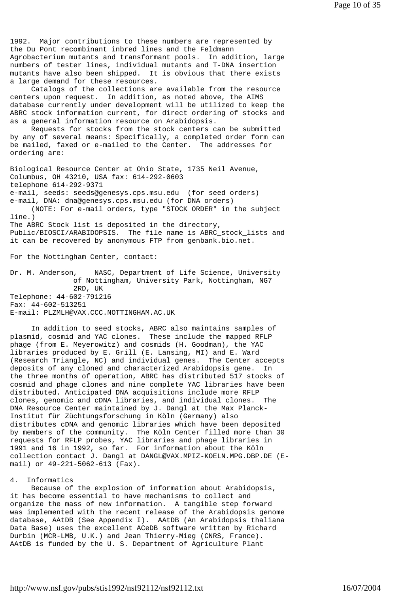1992. Major contributions to these numbers are represented by the Du Pont recombinant inbred lines and the Feldmann Agrobacterium mutants and transformant pools. In addition, large numbers of tester lines, individual mutants and T-DNA insertion mutants have also been shipped. It is obvious that there exists a large demand for these resources.

 Catalogs of the collections are available from the resource centers upon request. In addition, as noted above, the AIMS database currently under development will be utilized to keep the ABRC stock information current, for direct ordering of stocks and as a general information resource on Arabidopsis.

 Requests for stocks from the stock centers can be submitted by any of several means: Specifically, a completed order form can be mailed, faxed or e-mailed to the Center. The addresses for ordering are:

Biological Resource Center at Ohio State, 1735 Neil Avenue, Columbus, OH 43210, USA fax: 614-292-0603 telephone 614-292-9371 e-mail, seeds: seeds@genesys.cps.msu.edu (for seed orders) e-mail, DNA: dna@genesys.cps.msu.edu (for DNA orders) (NOTE: For e-mail orders, type "STOCK ORDER" in the subject line.) The ABRC Stock list is deposited in the directory, Public/BIOSCI/ARABIDOPSIS. The file name is ABRC\_stock\_lists and it can be recovered by anonymous FTP from genbank.bio.net.

For the Nottingham Center, contact:

Dr. M. Anderson, NASC, Department of Life Science, University of Nottingham, University Park, Nottingham, NG7 2RD, UK Telephone: 44-602-791216 Fax: 44-602-513251 E-mail: PLZMLH@VAX.CCC.NOTTINGHAM.AC.UK

 In addition to seed stocks, ABRC also maintains samples of plasmid, cosmid and YAC clones. These include the mapped RFLP phage (from E. Meyerowitz) and cosmids (H. Goodman), the YAC libraries produced by E. Grill (E. Lansing, MI) and E. Ward (Research Triangle, NC) and individual genes. The Center accepts deposits of any cloned and characterized Arabidopsis gene. In the three months of operation, ABRC has distributed 517 stocks of cosmid and phage clones and nine complete YAC libraries have been distributed. Anticipated DNA acquisitions include more RFLP clones, genomic and cDNA libraries, and individual clones. The DNA Resource Center maintained by J. Dangl at the Max Planck-Institut für Züchtungsforschung in Köln (Germany) also distributes cDNA and genomic libraries which have been deposited by members of the community. The Köln Center filled more than 30 requests for RFLP probes, YAC libraries and phage libraries in 1991 and 16 in 1992, so far. For information about the Köln collection contact J. Dangl at DANGL@VAX.MPIZ-KOELN.MPG.DBP.DE (Email) or 49-221-5062-613 (Fax).

## 4. Informatics

 Because of the explosion of information about Arabidopsis, it has become essential to have mechanisms to collect and organize the mass of new information. A tangible step forward was implemented with the recent release of the Arabidopsis genome database, AAtDB (See Appendix I). AAtDB (An Arabidopsis thaliana Data Base) uses the excellent ACeDB software written by Richard Durbin (MCR-LMB, U.K.) and Jean Thierry-Mieg (CNRS, France). AAtDB is funded by the U. S. Department of Agriculture Plant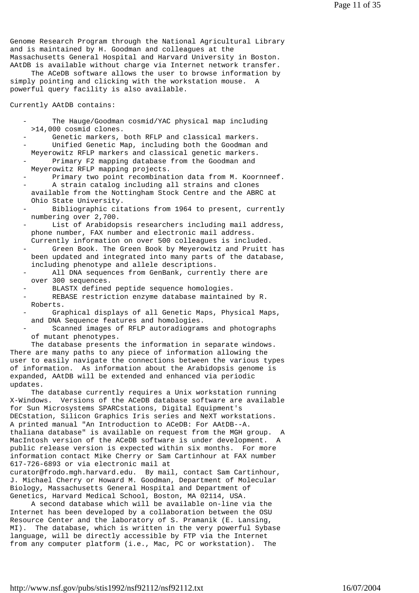Genome Research Program through the National Agricultural Library and is maintained by H. Goodman and colleagues at the Massachusetts General Hospital and Harvard University in Boston. AAtDB is available without charge via Internet network transfer.

 The ACeDB software allows the user to browse information by simply pointing and clicking with the workstation mouse. A powerful query facility is also available.

Currently AAtDB contains:

- The Hauge/Goodman cosmid/YAC physical map including >14,000 cosmid clones.
- Genetic markers, both RFLP and classical markers. Unified Genetic Map, including both the Goodman and Meyerowitz RFLP markers and classical genetic markers. Primary F2 mapping database from the Goodman and
- Meyerowitz RFLP mapping projects.
- Primary two point recombination data from M. Koornneef. A strain catalog including all strains and clones
- available from the Nottingham Stock Centre and the ABRC at Ohio State University.
- Bibliographic citations from 1964 to present, currently numbering over 2,700.
- List of Arabidopsis researchers including mail address, phone number, FAX number and electronic mail address. Currently information on over 500 colleagues is included.
- Green Book. The Green Book by Meyerowitz and Pruitt has been updated and integrated into many parts of the database, including phenotype and allele descriptions.
- All DNA sequences from GenBank, currently there are over 300 sequences.
- BLASTX defined peptide sequence homologies.
- REBASE restriction enzyme database maintained by R. Roberts.
- Graphical displays of all Genetic Maps, Physical Maps, and DNA Sequence features and homologies.
- Scanned images of RFLP autoradiograms and photographs of mutant phenotypes.

 The database presents the information in separate windows. There are many paths to any piece of information allowing the user to easily navigate the connections between the various types of information. As information about the Arabidopsis genome is expanded, AAtDB will be extended and enhanced via periodic updates.

 The database currently requires a Unix workstation running X-Windows. Versions of the ACeDB database software are available for Sun Microsystems SPARCstations, Digital Equipment's DECstation, Silicon Graphics Iris series and NeXT workstations. A printed manual "An Introduction to ACeDB: For AAtDB--A. thaliana database" is available on request from the MGH group. A MacIntosh version of the ACeDB software is under development. A public release version is expected within six months. For more information contact Mike Cherry or Sam Cartinhour at FAX number 617-726-6893 or via electronic mail at curator@frodo.mgh.harvard.edu. By mail, contact Sam Cartinhour,

J. Michael Cherry or Howard M. Goodman, Department of Molecular Biology, Massachusetts General Hospital and Department of Genetics, Harvard Medical School, Boston, MA 02114, USA.

 A second database which will be available on-line via the Internet has been developed by a collaboration between the OSU Resource Center and the laboratory of S. Pramanik (E. Lansing, MI). The database, which is written in the very powerful Sybase language, will be directly accessible by FTP via the Internet from any computer platform (i.e., Mac, PC or workstation). The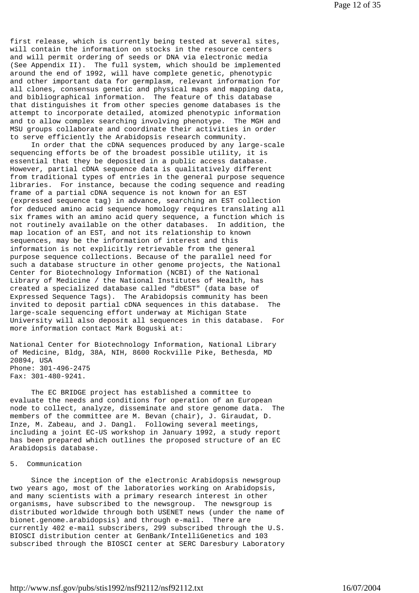first release, which is currently being tested at several sites, will contain the information on stocks in the resource centers and will permit ordering of seeds or DNA via electronic media (See Appendix II). The full system, which should be implemented around the end of 1992, will have complete genetic, phenotypic and other important data for germplasm, relevant information for all clones, consensus genetic and physical maps and mapping data, and bibliographical information. The feature of this database that distinguishes it from other species genome databases is the attempt to incorporate detailed, atomized phenotypic information and to allow complex searching involving phenotype. The MGH and MSU groups collaborate and coordinate their activities in order to serve efficiently the Arabidopsis research community.

 In order that the cDNA sequences produced by any large-scale sequencing efforts be of the broadest possible utility, it is essential that they be deposited in a public access database. However, partial cDNA sequence data is qualitatively different from traditional types of entries in the general purpose sequence libraries. For instance, because the coding sequence and reading frame of a partial cDNA sequence is not known for an EST (expressed sequence tag) in advance, searching an EST collection for deduced amino acid sequence homology requires translating all six frames with an amino acid query sequence, a function which is not routinely available on the other databases. In addition, the map location of an EST, and not its relationship to known sequences, may be the information of interest and this information is not explicitly retrievable from the general purpose sequence collections. Because of the parallel need for such a database structure in other genome projects, the National Center for Biotechnology Information (NCBI) of the National Library of Medicine / the National Institutes of Health, has created a specialized database called "dbEST" (data base of Expressed Sequence Tags). The Arabidopsis community has been invited to deposit partial cDNA sequences in this database. The large-scale sequencing effort underway at Michigan State University will also deposit all sequences in this database. For more information contact Mark Boguski at:

National Center for Biotechnology Information, National Library of Medicine, Bldg, 38A, NIH, 8600 Rockville Pike, Bethesda, MD 20894, USA Phone: 301-496-2475 Fax: 301-480-9241.

 The EC BRIDGE project has established a committee to evaluate the needs and conditions for operation of an European node to collect, analyze, disseminate and store genome data. The members of the committee are M. Bevan (chair), J. Giraudat, D. Inze, M. Zabeau, and J. Dangl. Following several meetings, including a joint EC-US workshop in January 1992, a study report has been prepared which outlines the proposed structure of an EC Arabidopsis database.

### 5. Communication

 Since the inception of the electronic Arabidopsis newsgroup two years ago, most of the laboratories working on Arabidopsis, and many scientists with a primary research interest in other organisms, have subscribed to the newsgroup. The newsgroup is distributed worldwide through both USENET news (under the name of bionet.genome.arabidopsis) and through e-mail. There are currently 402 e-mail subscribers, 299 subscribed through the U.S. BIOSCI distribution center at GenBank/IntelliGenetics and 103 subscribed through the BIOSCI center at SERC Daresbury Laboratory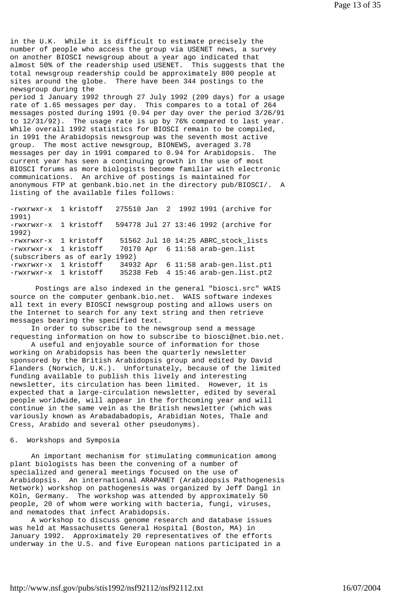in the U.K. While it is difficult to estimate precisely the number of people who access the group via USENET news, a survey on another BIOSCI newsgroup about a year ago indicated that almost 50% of the readership used USENET. This suggests that the total newsgroup readership could be approximately 800 people at sites around the globe. There have been 344 postings to the newsgroup during the

period 1 January 1992 through 27 July 1992 (209 days) for a usage rate of 1.65 messages per day. This compares to a total of 264 messages posted during 1991 (0.94 per day over the period 3/26/91 to 12/31/92). The usage rate is up by 76% compared to last year. While overall 1992 statistics for BIOSCI remain to be compiled, in 1991 the Arabidopsis newsgroup was the seventh most active group. The most active newsgroup, BIONEWS, averaged 3.78 messages per day in 1991 compared to 0.94 for Arabidopsis. The current year has seen a continuing growth in the use of most BIOSCI forums as more biologists become familiar with electronic communications. An archive of postings is maintained for anonymous FTP at genbank.bio.net in the directory pub/BIOSCI/. A listing of the available files follows:

-rwxrwxr-x 1 kristoff 275510 Jan 2 1992 1991 (archive for 1991) -rwxrwxr-x 1 kristoff 594778 Jul 27 13:46 1992 (archive for 1992) -rwxrwxr-x 1 kristoff 51562 Jul 10 14:25 ABRC\_stock\_lists -rwxrwxr-x 1 kristoff 70170 Apr 6 11:58 arab-gen.list (subscribers as of early 1992) -rwxrwxr-x 1 kristoff 34932 Apr 6 11:58 arab-gen.list.pt1 -rwxrwxr-x 1 kristoff 35238 Feb 4 15:46 arab-gen.list.pt2

 Postings are also indexed in the general "biosci.src" WAIS source on the computer genbank.bio.net. WAIS software indexes all text in every BIOSCI newsgroup posting and allows users on the Internet to search for any text string and then retrieve messages bearing the specified text.

 In order to subscribe to the newsgroup send a message requesting information on how to subscribe to biosci@net.bio.net.

 A useful and enjoyable source of information for those working on Arabidopsis has been the quarterly newsletter sponsored by the British Arabidopsis group and edited by David Flanders (Norwich, U.K.). Unfortunately, because of the limited funding available to publish this lively and interesting newsletter, its circulation has been limited. However, it is expected that a large-circulation newsletter, edited by several people worldwide, will appear in the forthcoming year and will continue in the same vein as the British newsletter (which was variously known as Arabadabadopis, Arabidian Notes, Thale and Cress, Arabido and several other pseudonyms).

#### 6. Workshops and Symposia

 An important mechanism for stimulating communication among plant biologists has been the convening of a number of specialized and general meetings focused on the use of Arabidopsis. An international ARAPANET (Arabidopsis Pathogenesis Network) workshop on pathogenesis was organized by Jeff Dangl in Köln, Germany. The workshop was attended by approximately 50 people, 20 of whom were working with bacteria, fungi, viruses, and nematodes that infect Arabidopsis.

 A workshop to discuss genome research and database issues was held at Massachusetts General Hospital (Boston, MA) in January 1992. Approximately 20 representatives of the efforts underway in the U.S. and five European nations participated in a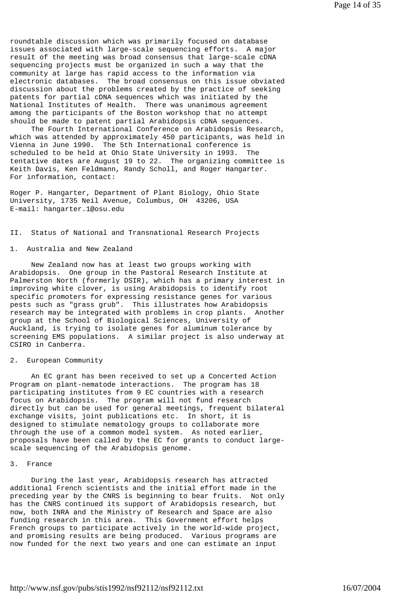roundtable discussion which was primarily focused on database issues associated with large-scale sequencing efforts. A major result of the meeting was broad consensus that large-scale cDNA sequencing projects must be organized in such a way that the community at large has rapid access to the information via electronic databases. The broad consensus on this issue obviated discussion about the problems created by the practice of seeking patents for partial cDNA sequences which was initiated by the National Institutes of Health. There was unanimous agreement among the participants of the Boston workshop that no attempt should be made to patent partial Arabidopsis cDNA sequences.

 The Fourth International Conference on Arabidopsis Research, which was attended by approximately 450 participants, was held in Vienna in June 1990. The 5th International conference is scheduled to be held at Ohio State University in 1993. The tentative dates are August 19 to 22. The organizing committee is Keith Davis, Ken Feldmann, Randy Scholl, and Roger Hangarter. For information, contact:

Roger P. Hangarter, Department of Plant Biology, Ohio State University, 1735 Neil Avenue, Columbus, OH 43206, USA E-mail: hangarter.1@osu.edu

II. Status of National and Transnational Research Projects

### 1. Australia and New Zealand

 New Zealand now has at least two groups working with Arabidopsis. One group in the Pastoral Research Institute at Palmerston North (formerly DSIR), which has a primary interest in improving white clover, is using Arabidopsis to identify root specific promoters for expressing resistance genes for various pests such as "grass grub". This illustrates how Arabidopsis research may be integrated with problems in crop plants. Another group at the School of Biological Sciences, University of Auckland, is trying to isolate genes for aluminum tolerance by screening EMS populations. A similar project is also underway at CSIRO in Canberra.

# 2. European Community

 An EC grant has been received to set up a Concerted Action Program on plant-nematode interactions. The program has 18 participating institutes from 9 EC countries with a research focus on Arabidopsis. The program will not fund research directly but can be used for general meetings, frequent bilateral exchange visits, joint publications etc. In short, it is designed to stimulate nematology groups to collaborate more through the use of a common model system. As noted earlier, proposals have been called by the EC for grants to conduct largescale sequencing of the Arabidopsis genome.

### 3. France

 During the last year, Arabidopsis research has attracted additional French scientists and the initial effort made in the preceding year by the CNRS is beginning to bear fruits. Not only has the CNRS continued its support of Arabidopsis research, but now, both INRA and the Ministry of Research and Space are also funding research in this area. This Government effort helps French groups to participate actively in the world-wide project, and promising results are being produced. Various programs are now funded for the next two years and one can estimate an input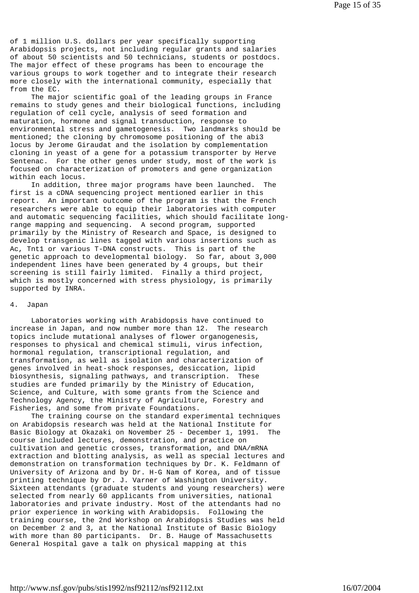of 1 million U.S. dollars per year specifically supporting Arabidopsis projects, not including regular grants and salaries of about 50 scientists and 50 technicians, students or postdocs. The major effect of these programs has been to encourage the various groups to work together and to integrate their research more closely with the international community, especially that from the EC.

 The major scientific goal of the leading groups in France remains to study genes and their biological functions, including regulation of cell cycle, analysis of seed formation and maturation, hormone and signal transduction, response to environmental stress and gametogenesis. Two landmarks should be mentioned; the cloning by chromosome positioning of the abi3 locus by Jerome Giraudat and the isolation by complementation cloning in yeast of a gene for a potassium transporter by Herve Sentenac. For the other genes under study, most of the work is focused on characterization of promoters and gene organization within each locus.

 In addition, three major programs have been launched. The first is a cDNA sequencing project mentioned earlier in this report. An important outcome of the program is that the French researchers were able to equip their laboratories with computer and automatic sequencing facilities, which should facilitate longrange mapping and sequencing. A second program, supported primarily by the Ministry of Research and Space, is designed to develop transgenic lines tagged with various insertions such as Ac, Tnt1 or various T-DNA constructs. This is part of the genetic approach to developmental biology. So far, about 3,000 independent lines have been generated by 4 groups, but their screening is still fairly limited. Finally a third project, which is mostly concerned with stress physiology, is primarily supported by INRA.

### 4. Japan

 Laboratories working with Arabidopsis have continued to increase in Japan, and now number more than 12. The research topics include mutational analyses of flower organogenesis, responses to physical and chemical stimuli, virus infection, hormonal regulation, transcriptional regulation, and transformation, as well as isolation and characterization of genes involved in heat-shock responses, desiccation, lipid biosynthesis, signaling pathways, and transcription. These studies are funded primarily by the Ministry of Education, Science, and Culture, with some grants from the Science and Technology Agency, the Ministry of Agriculture, Forestry and Fisheries, and some from private Foundations.

 The training course on the standard experimental techniques on Arabidopsis research was held at the National Institute for Basic Biology at Okazaki on November 25 - December 1, 1991. The course included lectures, demonstration, and practice on cultivation and genetic crosses, transformation, and DNA/mRNA extraction and blotting analysis, as well as special lectures and demonstration on transformation techniques by Dr. K. Feldmann of University of Arizona and by Dr. H-G Nam of Korea, and of tissue printing technique by Dr. J. Varner of Washington University. Sixteen attendants (graduate students and young researchers) were selected from nearly 60 applicants from universities, national laboratories and private industry. Most of the attendants had no prior experience in working with Arabidopsis. Following the training course, the 2nd Workshop on Arabidopsis Studies was held on December 2 and 3, at the National Institute of Basic Biology with more than 80 participants. Dr. B. Hauge of Massachusetts General Hospital gave a talk on physical mapping at this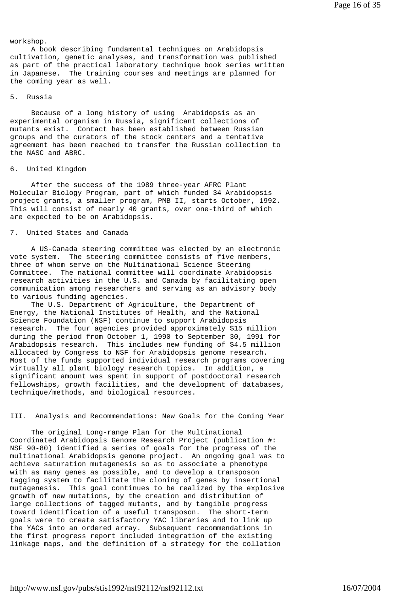workshop.

 A book describing fundamental techniques on Arabidopsis cultivation, genetic analyses, and transformation was published as part of the practical laboratory technique book series written in Japanese. The training courses and meetings are planned for the coming year as well.

## 5. Russia

 Because of a long history of using Arabidopsis as an experimental organism in Russia, significant collections of mutants exist. Contact has been established between Russian groups and the curators of the stock centers and a tentative agreement has been reached to transfer the Russian collection to the NASC and ABRC.

## 6. United Kingdom

 After the success of the 1989 three-year AFRC Plant Molecular Biology Program, part of which funded 34 Arabidopsis project grants, a smaller program, PMB II, starts October, 1992. This will consist of nearly 40 grants, over one-third of which are expected to be on Arabidopsis.

### 7. United States and Canada

 A US-Canada steering committee was elected by an electronic vote system. The steering committee consists of five members, three of whom serve on the Multinational Science Steering Committee. The national committee will coordinate Arabidopsis research activities in the U.S. and Canada by facilitating open communication among researchers and serving as an advisory body to various funding agencies.

 The U.S. Department of Agriculture, the Department of Energy, the National Institutes of Health, and the National Science Foundation (NSF) continue to support Arabidopsis research. The four agencies provided approximately \$15 million during the period from October 1, 1990 to September 30, 1991 for Arabidopsis research. This includes new funding of \$4.5 million allocated by Congress to NSF for Arabidopsis genome research. Most of the funds supported individual research programs covering virtually all plant biology research topics. In addition, a significant amount was spent in support of postdoctoral research fellowships, growth facilities, and the development of databases, technique/methods, and biological resources.

#### III. Analysis and Recommendations: New Goals for the Coming Year

 The original Long-range Plan for the Multinational Coordinated Arabidopsis Genome Research Project (publication #: NSF 90-80) identified a series of goals for the progress of the multinational Arabidopsis genome project. An ongoing goal was to achieve saturation mutagenesis so as to associate a phenotype with as many genes as possible, and to develop a transposon tagging system to facilitate the cloning of genes by insertional mutagenesis. This goal continues to be realized by the explosive growth of new mutations, by the creation and distribution of large collections of tagged mutants, and by tangible progress toward identification of a useful transposon. The short-term goals were to create satisfactory YAC libraries and to link up the YACs into an ordered array. Subsequent recommendations in the first progress report included integration of the existing linkage maps, and the definition of a strategy for the collation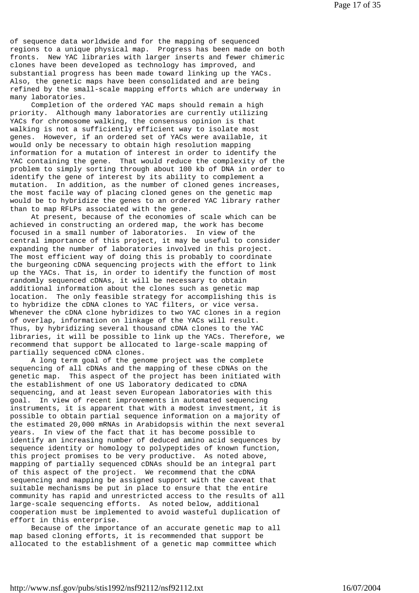of sequence data worldwide and for the mapping of sequenced regions to a unique physical map. Progress has been made on both fronts. New YAC libraries with larger inserts and fewer chimeric clones have been developed as technology has improved, and substantial progress has been made toward linking up the YACs. Also, the genetic maps have been consolidated and are being refined by the small-scale mapping efforts which are underway in many laboratories.

 Completion of the ordered YAC maps should remain a high priority. Although many laboratories are currently utilizing YACs for chromosome walking, the consensus opinion is that walking is not a sufficiently efficient way to isolate most genes. However, if an ordered set of YACs were available, it would only be necessary to obtain high resolution mapping information for a mutation of interest in order to identify the YAC containing the gene. That would reduce the complexity of the problem to simply sorting through about 100 kb of DNA in order to identify the gene of interest by its ability to complement a mutation. In addition, as the number of cloned genes increases, the most facile way of placing cloned genes on the genetic map would be to hybridize the genes to an ordered YAC library rather than to map RFLPs associated with the gene.

 At present, because of the economies of scale which can be achieved in constructing an ordered map, the work has become focused in a small number of laboratories. In view of the central importance of this project, it may be useful to consider expanding the number of laboratories involved in this project. The most efficient way of doing this is probably to coordinate the burgeoning cDNA sequencing projects with the effort to link up the YACs. That is, in order to identify the function of most randomly sequenced cDNAs, it will be necessary to obtain additional information about the clones such as genetic map location. The only feasible strategy for accomplishing this is to hybridize the cDNA clones to YAC filters, or vice versa. Whenever the cDNA clone hybridizes to two YAC clones in a region of overlap, information on linkage of the YACs will result. Thus, by hybridizing several thousand cDNA clones to the YAC libraries, it will be possible to link up the YACs. Therefore, we recommend that support be allocated to large-scale mapping of partially sequenced cDNA clones.

 A long term goal of the genome project was the complete sequencing of all cDNAs and the mapping of these cDNAs on the genetic map. This aspect of the project has been initiated with the establishment of one US laboratory dedicated to cDNA sequencing, and at least seven European laboratories with this goal. In view of recent improvements in automated sequencing instruments, it is apparent that with a modest investment, it is possible to obtain partial sequence information on a majority of the estimated 20,000 mRNAs in Arabidopsis within the next several years. In view of the fact that it has become possible to identify an increasing number of deduced amino acid sequences by sequence identity or homology to polypeptides of known function, this project promises to be very productive. As noted above, mapping of partially sequenced cDNAs should be an integral part of this aspect of the project. We recommend that the cDNA sequencing and mapping be assigned support with the caveat that suitable mechanisms be put in place to ensure that the entire community has rapid and unrestricted access to the results of all large-scale sequencing efforts. As noted below, additional cooperation must be implemented to avoid wasteful duplication of effort in this enterprise.

 Because of the importance of an accurate genetic map to all map based cloning efforts, it is recommended that support be allocated to the establishment of a genetic map committee which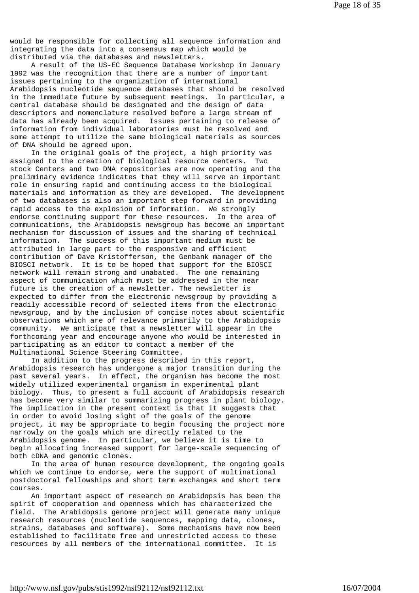would be responsible for collecting all sequence information and integrating the data into a consensus map which would be distributed via the databases and newsletters.

 A result of the US-EC Sequence Database Workshop in January 1992 was the recognition that there are a number of important issues pertaining to the organization of international Arabidopsis nucleotide sequence databases that should be resolved in the immediate future by subsequent meetings. In particular, a central database should be designated and the design of data descriptors and nomenclature resolved before a large stream of data has already been acquired. Issues pertaining to release of information from individual laboratories must be resolved and some attempt to utilize the same biological materials as sources of DNA should be agreed upon.

 In the original goals of the project, a high priority was assigned to the creation of biological resource centers. Two stock Centers and two DNA repositories are now operating and the preliminary evidence indicates that they will serve an important role in ensuring rapid and continuing access to the biological materials and information as they are developed. The development of two databases is also an important step forward in providing rapid access to the explosion of information. We strongly endorse continuing support for these resources. In the area of communications, the Arabidopsis newsgroup has become an important mechanism for discussion of issues and the sharing of technical information. The success of this important medium must be attributed in large part to the responsive and efficient contribution of Dave Kristofferson, the Genbank manager of the BIOSCI network. It is to be hoped that support for the BIOSCI network will remain strong and unabated. The one remaining aspect of communication which must be addressed in the near future is the creation of a newsletter. The newsletter is expected to differ from the electronic newsgroup by providing a readily accessible record of selected items from the electronic newsgroup, and by the inclusion of concise notes about scientific observations which are of relevance primarily to the Arabidopsis community. We anticipate that a newsletter will appear in the forthcoming year and encourage anyone who would be interested in participating as an editor to contact a member of the Multinational Science Steering Committee.

 In addition to the progress described in this report, Arabidopsis research has undergone a major transition during the past several years. In effect, the organism has become the most widely utilized experimental organism in experimental plant biology. Thus, to present a full account of Arabidopsis research has become very similar to summarizing progress in plant biology. The implication in the present context is that it suggests that in order to avoid losing sight of the goals of the genome project, it may be appropriate to begin focusing the project more narrowly on the goals which are directly related to the Arabidopsis genome. In particular, we believe it is time to begin allocating increased support for large-scale sequencing of both cDNA and genomic clones.

 In the area of human resource development, the ongoing goals which we continue to endorse, were the support of multinational postdoctoral fellowships and short term exchanges and short term courses.

 An important aspect of research on Arabidopsis has been the spirit of cooperation and openness which has characterized the field. The Arabidopsis genome project will generate many unique research resources (nucleotide sequences, mapping data, clones, strains, databases and software). Some mechanisms have now been established to facilitate free and unrestricted access to these resources by all members of the international committee. It is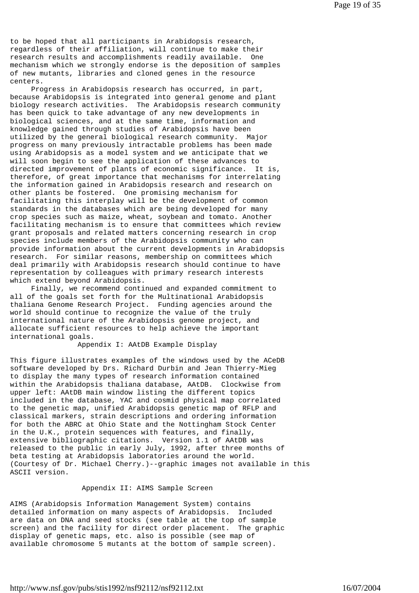to be hoped that all participants in Arabidopsis research, regardless of their affiliation, will continue to make their research results and accomplishments readily available. One mechanism which we strongly endorse is the deposition of samples of new mutants, libraries and cloned genes in the resource centers.

 Progress in Arabidopsis research has occurred, in part, because Arabidopsis is integrated into general genome and plant biology research activities. The Arabidopsis research community has been quick to take advantage of any new developments in biological sciences, and at the same time, information and knowledge gained through studies of Arabidopsis have been utilized by the general biological research community. Major progress on many previously intractable problems has been made using Arabidopsis as a model system and we anticipate that we will soon begin to see the application of these advances to directed improvement of plants of economic significance. It is, therefore, of great importance that mechanisms for interrelating the information gained in Arabidopsis research and research on other plants be fostered. One promising mechanism for facilitating this interplay will be the development of common standards in the databases which are being developed for many crop species such as maize, wheat, soybean and tomato. Another facilitating mechanism is to ensure that committees which review grant proposals and related matters concerning research in crop species include members of the Arabidopsis community who can provide information about the current developments in Arabidopsis research. For similar reasons, membership on committees which deal primarily with Arabidopsis research should continue to have representation by colleagues with primary research interests which extend beyond Arabidopsis.

 Finally, we recommend continued and expanded commitment to all of the goals set forth for the Multinational Arabidopsis thaliana Genome Research Project. Funding agencies around the world should continue to recognize the value of the truly international nature of the Arabidopsis genome project, and allocate sufficient resources to help achieve the important international goals.

Appendix I: AAtDB Example Display

This figure illustrates examples of the windows used by the ACeDB software developed by Drs. Richard Durbin and Jean Thierry-Mieg to display the many types of research information contained within the Arabidopsis thaliana database, AAtDB. Clockwise from upper left: AAtDB main window listing the different topics included in the database, YAC and cosmid physical map correlated to the genetic map, unified Arabidopsis genetic map of RFLP and classical markers, strain descriptions and ordering information for both the ABRC at Ohio State and the Nottingham Stock Center in the U.K., protein sequences with features, and finally, extensive bibliographic citations. Version 1.1 of AAtDB was released to the public in early July, 1992, after three months of beta testing at Arabidopsis laboratories around the world. (Courtesy of Dr. Michael Cherry.)--graphic images not available in this ASCII version.

## Appendix II: AIMS Sample Screen

AIMS (Arabidopsis Information Management System) contains detailed information on many aspects of Arabidopsis. Included are data on DNA and seed stocks (see table at the top of sample screen) and the facility for direct order placement. The graphic display of genetic maps, etc. also is possible (see map of available chromosome 5 mutants at the bottom of sample screen).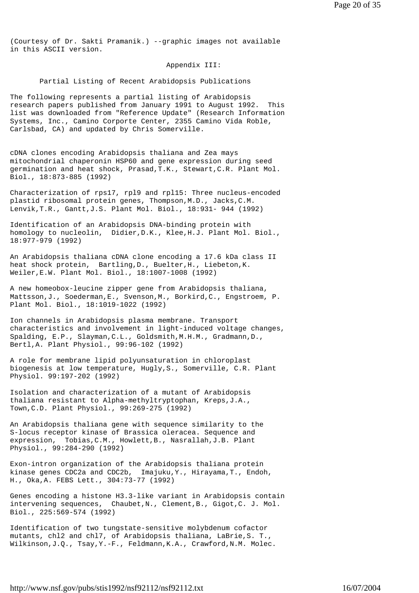(Courtesy of Dr. Sakti Pramanik.) --graphic images not available in this ASCII version.

### Appendix III:

Partial Listing of Recent Arabidopsis Publications

The following represents a partial listing of Arabidopsis research papers published from January 1991 to August 1992. This list was downloaded from "Reference Update" (Research Information Systems, Inc., Camino Corporte Center, 2355 Camino Vida Roble, Carlsbad, CA) and updated by Chris Somerville.

cDNA clones encoding Arabidopsis thaliana and Zea mays mitochondrial chaperonin HSP60 and gene expression during seed germination and heat shock, Prasad,T.K., Stewart,C.R. Plant Mol. Biol., 18:873-885 (1992)

Characterization of rps17, rpl9 and rpl15: Three nucleus-encoded plastid ribosomal protein genes, Thompson,M.D., Jacks,C.M. Lenvik,T.R., Gantt,J.S. Plant Mol. Biol., 18:931- 944 (1992)

Identification of an Arabidopsis DNA-binding protein with homology to nucleolin, Didier,D.K., Klee,H.J. Plant Mol. Biol., 18:977-979 (1992)

An Arabidopsis thaliana cDNA clone encoding a 17.6 kDa class II heat shock protein, Bartling,D., Buelter,H., Liebeton,K. Weiler,E.W. Plant Mol. Biol., 18:1007-1008 (1992)

A new homeobox-leucine zipper gene from Arabidopsis thaliana, Mattsson,J., Soederman,E., Svenson,M., Borkird,C., Engstroem, P. Plant Mol. Biol., 18:1019-1022 (1992)

Ion channels in Arabidopsis plasma membrane. Transport characteristics and involvement in light-induced voltage changes, Spalding, E.P., Slayman,C.L., Goldsmith,M.H.M., Gradmann,D., Bertl,A. Plant Physiol., 99:96-102 (1992)

A role for membrane lipid polyunsaturation in chloroplast biogenesis at low temperature, Hugly,S., Somerville, C.R. Plant Physiol. 99:197-202 (1992)

Isolation and characterization of a mutant of Arabidopsis thaliana resistant to Alpha-methyltryptophan, Kreps,J.A., Town,C.D. Plant Physiol., 99:269-275 (1992)

An Arabidopsis thaliana gene with sequence similarity to the S-locus receptor kinase of Brassica oleracea. Sequence and expression, Tobias,C.M., Howlett,B., Nasrallah,J.B. Plant Physiol., 99:284-290 (1992)

Exon-intron organization of the Arabidopsis thaliana protein kinase genes CDC2a and CDC2b, Imajuku,Y., Hirayama,T., Endoh, H., Oka,A. FEBS Lett., 304:73-77 (1992)

Genes encoding a histone H3.3-like variant in Arabidopsis contain intervening sequences, Chaubet,N., Clement,B., Gigot,C. J. Mol. Biol., 225:569-574 (1992)

Identification of two tungstate-sensitive molybdenum cofactor mutants, chl2 and chl7, of Arabidopsis thaliana, LaBrie,S. T., Wilkinson,J.Q., Tsay,Y.-F., Feldmann,K.A., Crawford,N.M. Molec.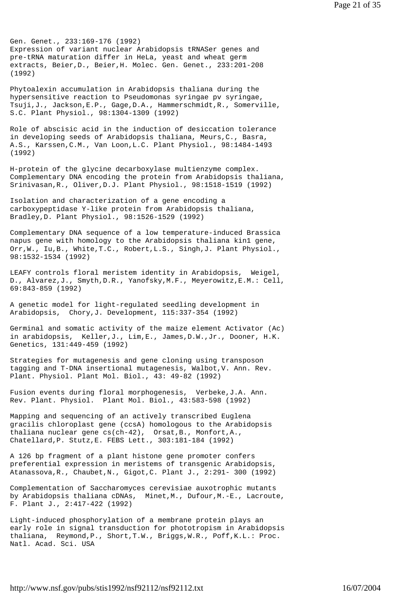Gen. Genet., 233:169-176 (1992) Expression of variant nuclear Arabidopsis tRNASer genes and pre-tRNA maturation differ in HeLa, yeast and wheat germ extracts, Beier, D., Beier, H. Molec. Gen. Genet., 233:201-208 (1992)

Phytoalexin accumulation in Arabidopsis thaliana during the hypersensitive reaction to Pseudomonas syringae pv syringae, Tsuji,J., Jackson,E.P., Gage,D.A., Hammerschmidt,R., Somerville, S.C. Plant Physiol., 98:1304-1309 (1992)

Role of abscisic acid in the induction of desiccation tolerance in developing seeds of Arabidopsis thaliana, Meurs,C., Basra, A.S., Karssen,C.M., Van Loon,L.C. Plant Physiol., 98:1484-1493 (1992)

H-protein of the glycine decarboxylase multienzyme complex. Complementary DNA encoding the protein from Arabidopsis thaliana, Srinivasan,R., Oliver,D.J. Plant Physiol., 98:1518-1519 (1992)

Isolation and characterization of a gene encoding a carboxypeptidase Y-like protein from Arabidopsis thaliana, Bradley,D. Plant Physiol., 98:1526-1529 (1992)

Complementary DNA sequence of a low temperature-induced Brassica napus gene with homology to the Arabidopsis thaliana kin1 gene, Orr,W., Iu,B., White,T.C., Robert,L.S., Singh,J. Plant Physiol., 98:1532-1534 (1992)

LEAFY controls floral meristem identity in Arabidopsis, Weigel, D., Alvarez,J., Smyth,D.R., Yanofsky,M.F., Meyerowitz,E.M.: Cell, 69:843-859 (1992)

A genetic model for light-regulated seedling development in Arabidopsis, Chory,J. Development, 115:337-354 (1992)

Germinal and somatic activity of the maize element Activator (Ac) in arabidopsis, Keller,J., Lim,E., James,D.W.,Jr., Dooner, H.K. Genetics, 131:449-459 (1992)

Strategies for mutagenesis and gene cloning using transposon tagging and T-DNA insertional mutagenesis, Walbot,V. Ann. Rev. Plant. Physiol. Plant Mol. Biol., 43: 49-82 (1992)

Fusion events during floral morphogenesis, Verbeke,J.A. Ann. Rev. Plant. Physiol. Plant Mol. Biol., 43:583-598 (1992)

Mapping and sequencing of an actively transcribed Euglena gracilis chloroplast gene (ccsA) homologous to the Arabidopsis thaliana nuclear gene cs(ch-42), Orsat,B., Monfort,A., Chatellard,P. Stutz,E. FEBS Lett., 303:181-184 (1992)

A 126 bp fragment of a plant histone gene promoter confers preferential expression in meristems of transgenic Arabidopsis, Atanassova,R., Chaubet,N., Gigot,C. Plant J., 2:291- 300 (1992)

Complementation of Saccharomyces cerevisiae auxotrophic mutants by Arabidopsis thaliana cDNAs, Minet,M., Dufour,M.-E., Lacroute, F. Plant J., 2:417-422 (1992)

Light-induced phosphorylation of a membrane protein plays an early role in signal transduction for phototropism in Arabidopsis thaliana, Reymond,P., Short,T.W., Briggs,W.R., Poff,K.L.: Proc. Natl. Acad. Sci. USA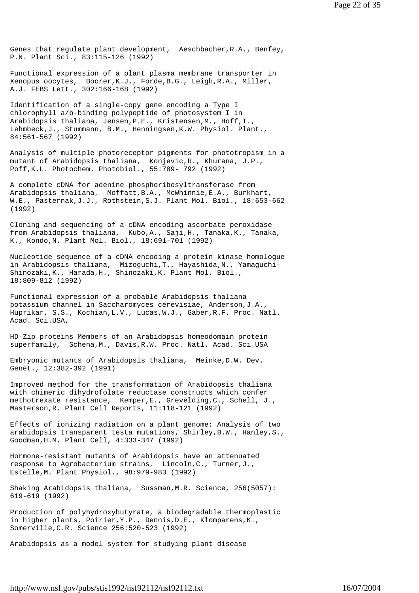Genes that regulate plant development, Aeschbacher,R.A., Benfey, P.N. Plant Sci., 83:115-126 (1992)

Functional expression of a plant plasma membrane transporter in Xenopus oocytes, Boorer,K.J., Forde,B.G., Leigh,R.A., Miller, A.J. FEBS Lett., 302:166-168 (1992)

Identification of a single-copy gene encoding a Type I chlorophyll a/b-binding polypeptide of photosystem I in Arabidopsis thaliana, Jensen,P.E., Kristensen,M., Hoff,T., Lehmbeck,J., Stummann, B.M., Henningsen,K.W. Physiol. Plant., 84:561-567 (1992)

Analysis of multiple photoreceptor pigments for phototropism in a mutant of Arabidopsis thaliana, Konjevic,R., Khurana, J.P., Poff,K.L. Photochem. Photobiol., 55:789- 792 (1992)

A complete cDNA for adenine phosphoribosyltransferase from Arabidopsis thaliana, Moffatt,B.A., McWhinnie,E.A., Burkhart, W.E., Pasternak,J.J., Rothstein,S.J. Plant Mol. Biol., 18:653-662 (1992)

Cloning and sequencing of a cDNA encoding ascorbate peroxidase from Arabidopsis thaliana, Kubo,A., Saji,H., Tanaka,K., Tanaka, K., Kondo,N. Plant Mol. Biol., 18:691-701 (1992)

Nucleotide sequence of a cDNA encoding a protein kinase homologue in Arabidopsis thaliana, Mizoguchi,T., Hayashida,N., Yamaguchi-Shinozaki,K., Harada,H., Shinozaki,K. Plant Mol. Biol., 18:809-812 (1992)

Functional expression of a probable Arabidopsis thaliana potassium channel in Saccharomyces cerevisiae, Anderson,J.A., Huprikar, S.S., Kochian,L.V., Lucas,W.J., Gaber,R.F. Proc. Natl. Acad. Sci.USA,

HD-Zip proteins Members of an Arabidopsis homeodomain protein superfamily, Schena,M., Davis,R.W. Proc. Natl. Acad. Sci.USA

Embryonic mutants of Arabidopsis thaliana, Meinke,D.W. Dev. Genet., 12:382-392 (1991)

Improved method for the transformation of Arabidopsis thaliana with chimeric dihydrofolate reductase constructs which confer methotrexate resistance, Kemper,E., Grevelding,C., Schell, J., Masterson,R. Plant Cell Reports, 11:118-121 (1992)

Effects of ionizing radiation on a plant genome: Analysis of two arabidopsis transparent testa mutations, Shirley,B.W., Hanley,S., Goodman,H.M. Plant Cell, 4:333-347 (1992)

Hormone-resistant mutants of Arabidopsis have an attenuated response to Agrobacterium strains, Lincoln,C., Turner,J., Estelle,M. Plant Physiol., 98:979-983 (1992)

Shaking Arabidopsis thaliana, Sussman,M.R. Science, 256(5057): 619-619 (1992)

Production of polyhydroxybutyrate, a biodegradable thermoplastic in higher plants, Poirier,Y.P., Dennis,D.E., Klomparens,K., Somerville,C.R. Science 256:520-523 (1992)

Arabidopsis as a model system for studying plant disease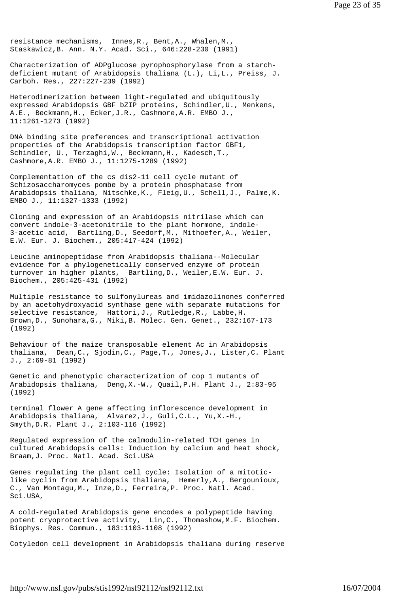resistance mechanisms, Innes,R., Bent,A., Whalen,M., Staskawicz,B. Ann. N.Y. Acad. Sci., 646:228-230 (1991)

Characterization of ADPglucose pyrophosphorylase from a starchdeficient mutant of Arabidopsis thaliana (L.), Li,L., Preiss, J. Carboh. Res., 227:227-239 (1992)

Heterodimerization between light-regulated and ubiquitously expressed Arabidopsis GBF bZIP proteins, Schindler,U., Menkens, A.E., Beckmann,H., Ecker,J.R., Cashmore,A.R. EMBO J., 11:1261-1273 (1992)

DNA binding site preferences and transcriptional activation properties of the Arabidopsis transcription factor GBF1, Schindler, U., Terzaghi,W., Beckmann,H., Kadesch,T., Cashmore,A.R. EMBO J., 11:1275-1289 (1992)

Complementation of the cs dis2-11 cell cycle mutant of Schizosaccharomyces pombe by a protein phosphatase from Arabidopsis thaliana, Nitschke,K., Fleig,U., Schell,J., Palme,K. EMBO J., 11:1327-1333 (1992)

Cloning and expression of an Arabidopsis nitrilase which can convert indole-3-acetonitrile to the plant hormone, indole-3-acetic acid, Bartling,D., Seedorf,M., Mithoefer,A., Weiler, E.W. Eur. J. Biochem., 205:417-424 (1992)

Leucine aminopeptidase from Arabidopsis thaliana--Molecular evidence for a phylogenetically conserved enzyme of protein turnover in higher plants, Bartling,D., Weiler,E.W. Eur. J. Biochem., 205:425-431 (1992)

Multiple resistance to sulfonylureas and imidazolinones conferred by an acetohydroxyacid synthase gene with separate mutations for selective resistance, Hattori,J., Rutledge,R., Labbe,H. Brown,D., Sunohara,G., Miki,B. Molec. Gen. Genet., 232:167-173 (1992)

Behaviour of the maize transposable element Ac in Arabidopsis thaliana, Dean,C., Sjodin,C., Page,T., Jones,J., Lister,C. Plant J., 2:69-81 (1992)

Genetic and phenotypic characterization of cop 1 mutants of Arabidopsis thaliana, Deng,X.-W., Quail,P.H. Plant J., 2:83-95 (1992)

terminal flower A gene affecting inflorescence development in Arabidopsis thaliana, Alvarez,J., Guli,C.L., Yu,X.-H., Smyth,D.R. Plant J., 2:103-116 (1992)

Regulated expression of the calmodulin-related TCH genes in cultured Arabidopsis cells: Induction by calcium and heat shock, Braam,J. Proc. Natl. Acad. Sci.USA

Genes regulating the plant cell cycle: Isolation of a mitoticlike cyclin from Arabidopsis thaliana, Hemerly,A., Bergounioux, C., Van Montagu,M., Inze,D., Ferreira,P. Proc. Natl. Acad. Sci.USA,

A cold-regulated Arabidopsis gene encodes a polypeptide having potent cryoprotective activity, Lin,C., Thomashow,M.F. Biochem. Biophys. Res. Commun., 183:1103-1108 (1992)

Cotyledon cell development in Arabidopsis thaliana during reserve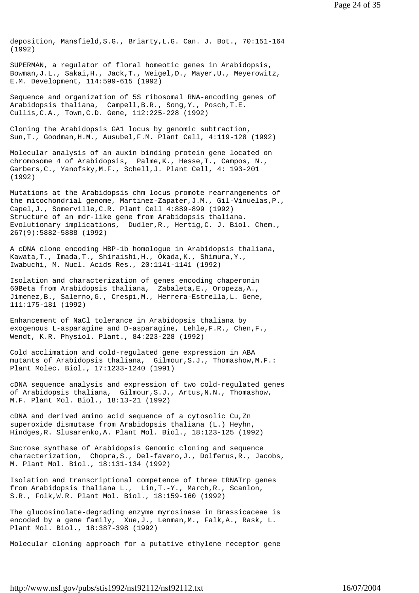deposition, Mansfield,S.G., Briarty,L.G. Can. J. Bot., 70:151-164 (1992)

SUPERMAN, a regulator of floral homeotic genes in Arabidopsis, Bowman,J.L., Sakai,H., Jack,T., Weigel,D., Mayer,U., Meyerowitz, E.M. Development, 114:599-615 (1992)

Sequence and organization of 5S ribosomal RNA-encoding genes of Arabidopsis thaliana, Campell,B.R., Song,Y., Posch,T.E. Cullis,C.A., Town,C.D. Gene, 112:225-228 (1992)

Cloning the Arabidopsis GA1 locus by genomic subtraction, Sun,T., Goodman,H.M., Ausubel,F.M. Plant Cell, 4:119-128 (1992)

Molecular analysis of an auxin binding protein gene located on chromosome 4 of Arabidopsis, Palme,K., Hesse,T., Campos, N., Garbers,C., Yanofsky,M.F., Schell,J. Plant Cell, 4: 193-201 (1992)

Mutations at the Arabidopsis chm locus promote rearrangements of the mitochondrial genome, Martinez-Zapater,J.M., Gil-Vinuelas,P., Capel,J., Somerville,C.R. Plant Cell 4:889-899 (1992) Structure of an mdr-like gene from Arabidopsis thaliana. Evolutionary implications, Dudler,R., Hertig,C. J. Biol. Chem., 267(9):5882-5888 (1992)

A cDNA clone encoding HBP-1b homologue in Arabidopsis thaliana, Kawata,T., Imada,T., Shiraishi,H., Okada,K., Shimura,Y., Iwabuchi, M. Nucl. Acids Res., 20:1141-1141 (1992)

Isolation and characterization of genes encoding chaperonin 60Beta from Arabidopsis thaliana, Zabaleta,E., Oropeza,A., Jimenez,B., Salerno,G., Crespi,M., Herrera-Estrella,L. Gene, 111:175-181 (1992)

Enhancement of NaCl tolerance in Arabidopsis thaliana by exogenous L-asparagine and D-asparagine, Lehle,F.R., Chen,F., Wendt, K.R. Physiol. Plant., 84:223-228 (1992)

Cold acclimation and cold-regulated gene expression in ABA mutants of Arabidopsis thaliana, Gilmour,S.J., Thomashow,M.F.: Plant Molec. Biol., 17:1233-1240 (1991)

cDNA sequence analysis and expression of two cold-regulated genes of Arabidopsis thaliana, Gilmour,S.J., Artus,N.N., Thomashow, M.F. Plant Mol. Biol., 18:13-21 (1992)

cDNA and derived amino acid sequence of a cytosolic Cu,Zn superoxide dismutase from Arabidopsis thaliana (L.) Heyhn, Hindges,R. Slusarenko,A. Plant Mol. Biol., 18:123-125 (1992)

Sucrose synthase of Arabidopsis Genomic cloning and sequence characterization, Chopra,S., Del-favero,J., Dolferus,R., Jacobs, M. Plant Mol. Biol., 18:131-134 (1992)

Isolation and transcriptional competence of three tRNATrp genes from Arabidopsis thaliana L., Lin,T.-Y., March,R., Scanlon, S.R., Folk,W.R. Plant Mol. Biol., 18:159-160 (1992)

The glucosinolate-degrading enzyme myrosinase in Brassicaceae is encoded by a gene family, Xue,J., Lenman,M., Falk,A., Rask, L. Plant Mol. Biol., 18:387-398 (1992)

Molecular cloning approach for a putative ethylene receptor gene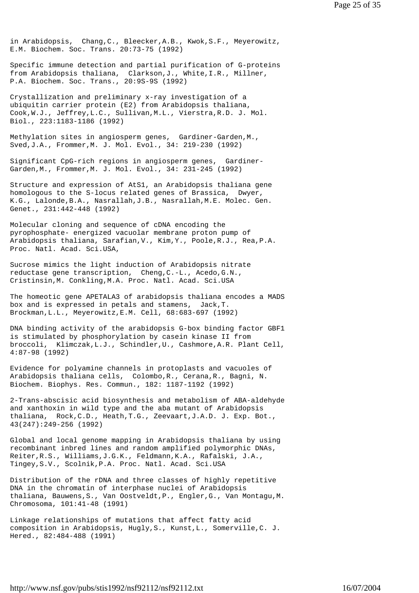in Arabidopsis, Chang,C., Bleecker,A.B., Kwok,S.F., Meyerowitz, E.M. Biochem. Soc. Trans. 20:73-75 (1992)

Specific immune detection and partial purification of G-proteins from Arabidopsis thaliana, Clarkson,J., White,I.R., Millner, P.A. Biochem. Soc. Trans., 20:9S-9S (1992)

Crystallization and preliminary x-ray investigation of a ubiquitin carrier protein (E2) from Arabidopsis thaliana, Cook,W.J., Jeffrey,L.C., Sullivan,M.L., Vierstra,R.D. J. Mol. Biol., 223:1183-1186 (1992)

Methylation sites in angiosperm genes, Gardiner-Garden,M., Sved,J.A., Frommer,M. J. Mol. Evol., 34: 219-230 (1992)

Significant CpG-rich regions in angiosperm genes, Gardiner-Garden,M., Frommer,M. J. Mol. Evol., 34: 231-245 (1992)

Structure and expression of AtS1, an Arabidopsis thaliana gene homologous to the S-locus related genes of Brassica, Dwyer, K.G., Lalonde,B.A., Nasrallah,J.B., Nasrallah,M.E. Molec. Gen. Genet., 231:442-448 (1992)

Molecular cloning and sequence of cDNA encoding the pyrophosphate- energized vacuolar membrane proton pump of Arabidopsis thaliana, Sarafian,V., Kim,Y., Poole,R.J., Rea,P.A. Proc. Natl. Acad. Sci.USA,

Sucrose mimics the light induction of Arabidopsis nitrate reductase gene transcription, Cheng,C.-L., Acedo,G.N., Cristinsin,M. Conkling,M.A. Proc. Natl. Acad. Sci.USA

The homeotic gene APETALA3 of arabidopsis thaliana encodes a MADS box and is expressed in petals and stamens, Jack,T. Brockman,L.L., Meyerowitz,E.M. Cell, 68:683-697 (1992)

DNA binding activity of the arabidopsis G-box binding factor GBF1 is stimulated by phosphorylation by casein kinase II from broccoli, Klimczak,L.J., Schindler,U., Cashmore,A.R. Plant Cell, 4:87-98 (1992)

Evidence for polyamine channels in protoplasts and vacuoles of Arabidopsis thaliana cells, Colombo,R., Cerana,R., Bagni, N. Biochem. Biophys. Res. Commun., 182: 1187-1192 (1992)

2-Trans-abscisic acid biosynthesis and metabolism of ABA-aldehyde and xanthoxin in wild type and the aba mutant of Arabidopsis thaliana, Rock,C.D., Heath,T.G., Zeevaart,J.A.D. J. Exp. Bot., 43(247):249-256 (1992)

Global and local genome mapping in Arabidopsis thaliana by using recombinant inbred lines and random amplified polymorphic DNAs, Reiter,R.S., Williams,J.G.K., Feldmann,K.A., Rafalski, J.A., Tingey,S.V., Scolnik,P.A. Proc. Natl. Acad. Sci.USA

Distribution of the rDNA and three classes of highly repetitive DNA in the chromatin of interphase nuclei of Arabidopsis thaliana, Bauwens,S., Van Oostveldt,P., Engler,G., Van Montagu,M. Chromosoma, 101:41-48 (1991)

Linkage relationships of mutations that affect fatty acid composition in Arabidopsis, Hugly,S., Kunst,L., Somerville,C. J. Hered., 82:484-488 (1991)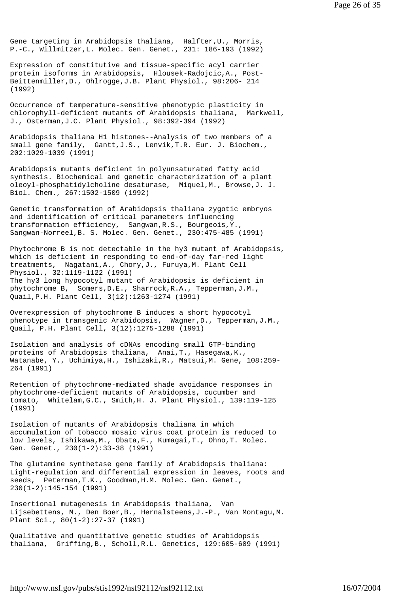Gene targeting in Arabidopsis thaliana, Halfter,U., Morris, P.-C., Willmitzer,L. Molec. Gen. Genet., 231: 186-193 (1992)

Expression of constitutive and tissue-specific acyl carrier protein isoforms in Arabidopsis, Hlousek-Radojcic,A., Post-Beittenmiller,D., Ohlrogge,J.B. Plant Physiol., 98:206- 214 (1992)

Occurrence of temperature-sensitive phenotypic plasticity in chlorophyll-deficient mutants of Arabidopsis thaliana, Markwell, J., Osterman,J.C. Plant Physiol., 98:392-394 (1992)

Arabidopsis thaliana H1 histones--Analysis of two members of a small gene family, Gantt,J.S., Lenvik,T.R. Eur. J. Biochem., 202:1029-1039 (1991)

Arabidopsis mutants deficient in polyunsaturated fatty acid synthesis. Biochemical and genetic characterization of a plant oleoyl-phosphatidylcholine desaturase, Miquel,M., Browse,J. J. Biol. Chem., 267:1502-1509 (1992)

Genetic transformation of Arabidopsis thaliana zygotic embryos and identification of critical parameters influencing transformation efficiency, Sangwan,R.S., Bourgeois,Y., Sangwan-Norreel,B. S. Molec. Gen. Genet., 230:475-485 (1991)

Phytochrome B is not detectable in the hy3 mutant of Arabidopsis, which is deficient in responding to end-of-day far-red light treatments, Nagatani,A., Chory,J., Furuya,M. Plant Cell Physiol., 32:1119-1122 (1991) The hy3 long hypocotyl mutant of Arabidopsis is deficient in phytochrome B, Somers,D.E., Sharrock,R.A., Tepperman,J.M., Quail,P.H. Plant Cell, 3(12):1263-1274 (1991)

Overexpression of phytochrome B induces a short hypocotyl phenotype in transgenic Arabidopsis, Wagner,D., Tepperman,J.M., Quail, P.H. Plant Cell, 3(12):1275-1288 (1991)

Isolation and analysis of cDNAs encoding small GTP-binding proteins of Arabidopsis thaliana, Anai,T., Hasegawa,K., Watanabe, Y., Uchimiya,H., Ishizaki,R., Matsui,M. Gene, 108:259- 264 (1991)

Retention of phytochrome-mediated shade avoidance responses in phytochrome-deficient mutants of Arabidopsis, cucumber and tomato, Whitelam,G.C., Smith,H. J. Plant Physiol., 139:119-125 (1991)

Isolation of mutants of Arabidopsis thaliana in which accumulation of tobacco mosaic virus coat protein is reduced to low levels, Ishikawa,M., Obata,F., Kumagai,T., Ohno,T. Molec. Gen. Genet., 230(1-2):33-38 (1991)

The glutamine synthetase gene family of Arabidopsis thaliana: Light-regulation and differential expression in leaves, roots and seeds, Peterman,T.K., Goodman,H.M. Molec. Gen. Genet., 230(1-2):145-154 (1991)

Insertional mutagenesis in Arabidopsis thaliana, Van Lijsebettens, M., Den Boer,B., Hernalsteens,J.-P., Van Montagu,M. Plant Sci., 80(1-2):27-37 (1991)

Qualitative and quantitative genetic studies of Arabidopsis thaliana, Griffing,B., Scholl,R.L. Genetics, 129:605-609 (1991)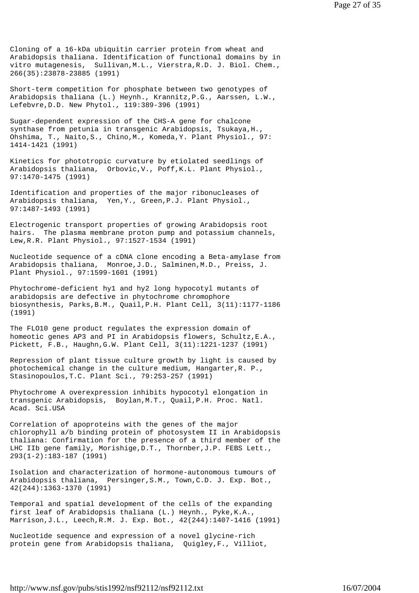Cloning of a 16-kDa ubiquitin carrier protein from wheat and Arabidopsis thaliana. Identification of functional domains by in vitro mutagenesis, Sullivan,M.L., Vierstra,R.D. J. Biol. Chem., 266(35):23878-23885 (1991)

Short-term competition for phosphate between two genotypes of Arabidopsis thaliana (L.) Heynh., Krannitz,P.G., Aarssen, L.W., Lefebvre,D.D. New Phytol., 119:389-396 (1991)

Sugar-dependent expression of the CHS-A gene for chalcone synthase from petunia in transgenic Arabidopsis, Tsukaya,H., Ohshima, T., Naito,S., Chino,M., Komeda,Y. Plant Physiol., 97: 1414-1421 (1991)

Kinetics for phototropic curvature by etiolated seedlings of Arabidopsis thaliana, Orbovic,V., Poff,K.L. Plant Physiol., 97:1470-1475 (1991)

Identification and properties of the major ribonucleases of Arabidopsis thaliana, Yen,Y., Green,P.J. Plant Physiol., 97:1487-1493 (1991)

Electrogenic transport properties of growing Arabidopsis root hairs. The plasma membrane proton pump and potassium channels, Lew,R.R. Plant Physiol., 97:1527-1534 (1991)

Nucleotide sequence of a cDNA clone encoding a Beta-amylase from Arabidopsis thaliana, Monroe,J.D., Salminen,M.D., Preiss, J. Plant Physiol., 97:1599-1601 (1991)

Phytochrome-deficient hy1 and hy2 long hypocotyl mutants of arabidopsis are defective in phytochrome chromophore biosynthesis, Parks,B.M., Quail,P.H. Plant Cell, 3(11):1177-1186 (1991)

The FLO10 gene product regulates the expression domain of homeotic genes AP3 and PI in Arabidopsis flowers, Schultz,E.A., Pickett, F.B., Haughn,G.W. Plant Cell, 3(11):1221-1237 (1991)

Repression of plant tissue culture growth by light is caused by photochemical change in the culture medium, Hangarter,R. P., Stasinopoulos,T.C. Plant Sci., 79:253-257 (1991)

Phytochrome A overexpression inhibits hypocotyl elongation in transgenic Arabidopsis, Boylan,M.T., Quail,P.H. Proc. Natl. Acad. Sci.USA

Correlation of apoproteins with the genes of the major chlorophyll a/b binding protein of photosystem II in Arabidopsis thaliana: Confirmation for the presence of a third member of the LHC IIb gene family, Morishige,D.T., Thornber,J.P. FEBS Lett., 293(1-2):183-187 (1991)

Isolation and characterization of hormone-autonomous tumours of Arabidopsis thaliana, Persinger,S.M., Town,C.D. J. Exp. Bot., 42(244):1363-1370 (1991)

Temporal and spatial development of the cells of the expanding first leaf of Arabidopsis thaliana (L.) Heynh., Pyke,K.A., Marrison,J.L., Leech,R.M. J. Exp. Bot., 42(244):1407-1416 (1991)

Nucleotide sequence and expression of a novel glycine-rich protein gene from Arabidopsis thaliana, Quigley,F., Villiot,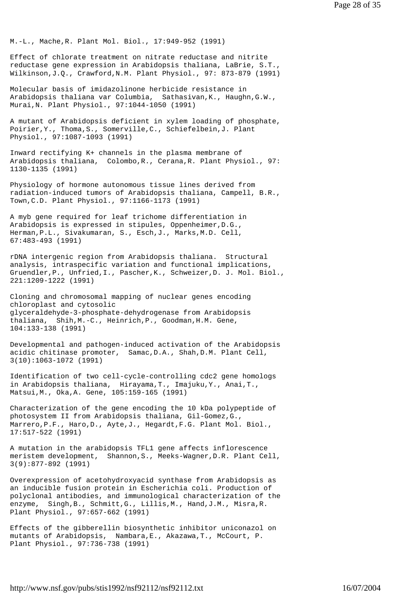M.-L., Mache,R. Plant Mol. Biol., 17:949-952 (1991)

Effect of chlorate treatment on nitrate reductase and nitrite reductase gene expression in Arabidopsis thaliana, LaBrie, S.T., Wilkinson,J.Q., Crawford,N.M. Plant Physiol., 97: 873-879 (1991)

Molecular basis of imidazolinone herbicide resistance in Arabidopsis thaliana var Columbia, Sathasivan,K., Haughn,G.W., Murai,N. Plant Physiol., 97:1044-1050 (1991)

A mutant of Arabidopsis deficient in xylem loading of phosphate, Poirier,Y., Thoma,S., Somerville,C., Schiefelbein,J. Plant Physiol., 97:1087-1093 (1991)

Inward rectifying K+ channels in the plasma membrane of Arabidopsis thaliana, Colombo,R., Cerana,R. Plant Physiol., 97: 1130-1135 (1991)

Physiology of hormone autonomous tissue lines derived from radiation-induced tumors of Arabidopsis thaliana, Campell, B.R., Town,C.D. Plant Physiol., 97:1166-1173 (1991)

A myb gene required for leaf trichome differentiation in Arabidopsis is expressed in stipules, Oppenheimer,D.G., Herman,P.L., Sivakumaran, S., Esch,J., Marks,M.D. Cell, 67:483-493 (1991)

rDNA intergenic region from Arabidopsis thaliana. Structural analysis, intraspecific variation and functional implications, Gruendler,P., Unfried,I., Pascher,K., Schweizer,D. J. Mol. Biol., 221:1209-1222 (1991)

Cloning and chromosomal mapping of nuclear genes encoding chloroplast and cytosolic glyceraldehyde-3-phosphate-dehydrogenase from Arabidopsis thaliana, Shih,M.-C., Heinrich,P., Goodman,H.M. Gene, 104:133-138 (1991)

Developmental and pathogen-induced activation of the Arabidopsis acidic chitinase promoter, Samac,D.A., Shah,D.M. Plant Cell, 3(10):1063-1072 (1991)

Identification of two cell-cycle-controlling cdc2 gene homologs in Arabidopsis thaliana, Hirayama,T., Imajuku,Y., Anai,T., Matsui,M., Oka,A. Gene, 105:159-165 (1991)

Characterization of the gene encoding the 10 kDa polypeptide of photosystem II from Arabidopsis thaliana, Gil-Gomez,G., Marrero,P.F., Haro,D., Ayte,J., Hegardt,F.G. Plant Mol. Biol., 17:517-522 (1991)

A mutation in the arabidopsis TFL1 gene affects inflorescence meristem development, Shannon,S., Meeks-Wagner,D.R. Plant Cell, 3(9):877-892 (1991)

Overexpression of acetohydroxyacid synthase from Arabidopsis as an inducible fusion protein in Escherichia coli. Production of polyclonal antibodies, and immunological characterization of the enzyme, Singh,B., Schmitt,G., Lillis,M., Hand,J.M., Misra,R. Plant Physiol., 97:657-662 (1991)

Effects of the gibberellin biosynthetic inhibitor uniconazol on mutants of Arabidopsis, Nambara,E., Akazawa,T., McCourt, P. Plant Physiol., 97:736-738 (1991)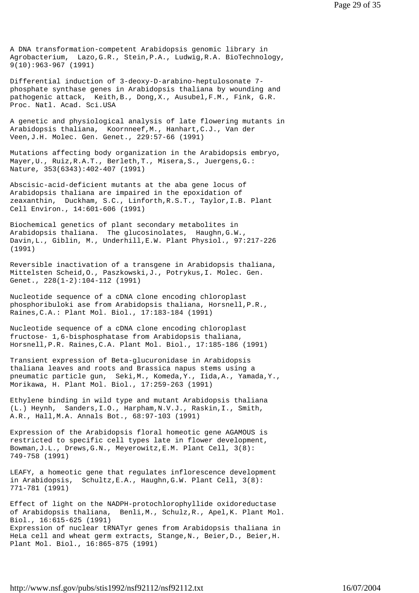A DNA transformation-competent Arabidopsis genomic library in Agrobacterium, Lazo,G.R., Stein,P.A., Ludwig,R.A. BioTechnology, 9(10):963-967 (1991)

Differential induction of 3-deoxy-D-arabino-heptulosonate 7 phosphate synthase genes in Arabidopsis thaliana by wounding and pathogenic attack, Keith,B., Dong,X., Ausubel,F.M., Fink, G.R. Proc. Natl. Acad. Sci.USA

A genetic and physiological analysis of late flowering mutants in Arabidopsis thaliana, Koornneef,M., Hanhart,C.J., Van der Veen,J.H. Molec. Gen. Genet., 229:57-66 (1991)

Mutations affecting body organization in the Arabidopsis embryo, Mayer,U., Ruiz,R.A.T., Berleth,T., Misera,S., Juergens,G.: Nature, 353(6343):402-407 (1991)

Abscisic-acid-deficient mutants at the aba gene locus of Arabidopsis thaliana are impaired in the epoxidation of zeaxanthin, Duckham, S.C., Linforth,R.S.T., Taylor,I.B. Plant Cell Environ., 14:601-606 (1991)

Biochemical genetics of plant secondary metabolites in Arabidopsis thaliana. The glucosinolates, Haughn,G.W., Davin,L., Giblin, M., Underhill,E.W. Plant Physiol., 97:217-226 (1991)

Reversible inactivation of a transgene in Arabidopsis thaliana, Mittelsten Scheid,O., Paszkowski,J., Potrykus,I. Molec. Gen. Genet., 228(1-2):104-112 (1991)

Nucleotide sequence of a cDNA clone encoding chloroplast phosphoribuloki ase from Arabidopsis thaliana, Horsnell,P.R., Raines,C.A.: Plant Mol. Biol., 17:183-184 (1991)

Nucleotide sequence of a cDNA clone encoding chloroplast fructose- 1,6-bisphosphatase from Arabidopsis thaliana, Horsnell,P.R. Raines,C.A. Plant Mol. Biol., 17:185-186 (1991)

Transient expression of Beta-glucuronidase in Arabidopsis thaliana leaves and roots and Brassica napus stems using a pneumatic particle gun, Seki,M., Komeda,Y., Iida,A., Yamada,Y., Morikawa, H. Plant Mol. Biol., 17:259-263 (1991)

Ethylene binding in wild type and mutant Arabidopsis thaliana (L.) Heynh, Sanders,I.O., Harpham,N.V.J., Raskin,I., Smith, A.R., Hall,M.A. Annals Bot., 68:97-103 (1991)

Expression of the Arabidopsis floral homeotic gene AGAMOUS is restricted to specific cell types late in flower development, Bowman,J.L., Drews,G.N., Meyerowitz,E.M. Plant Cell, 3(8): 749-758 (1991)

LEAFY, a homeotic gene that regulates inflorescence development in Arabidopsis, Schultz,E.A., Haughn,G.W. Plant Cell, 3(8): 771-781 (1991)

Effect of light on the NADPH-protochlorophyllide oxidoreductase of Arabidopsis thaliana, Benli,M., Schulz,R., Apel,K. Plant Mol. Biol., 16:615-625 (1991) Expression of nuclear tRNATyr genes from Arabidopsis thaliana in HeLa cell and wheat germ extracts, Stange,N., Beier,D., Beier,H. Plant Mol. Biol., 16:865-875 (1991)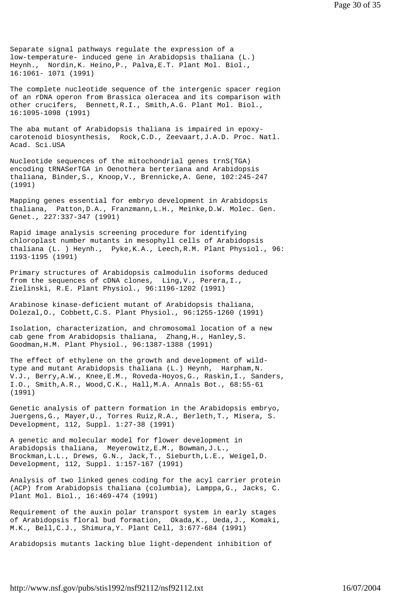Separate signal pathways regulate the expression of a low-temperature- induced gene in Arabidopsis thaliana (L.) Heynh., Nordin,K. Heino,P., Palva,E.T. Plant Mol. Biol., 16:1061- 1071 (1991)

The complete nucleotide sequence of the intergenic spacer region of an rDNA operon from Brassica oleracea and its comparison with other crucifers, Bennett,R.I., Smith,A.G. Plant Mol. Biol., 16:1095-1098 (1991)

The aba mutant of Arabidopsis thaliana is impaired in epoxycarotenoid biosynthesis, Rock,C.D., Zeevaart,J.A.D. Proc. Natl. Acad. Sci.USA

Nucleotide sequences of the mitochondrial genes trnS(TGA) encoding tRNASerTGA in Oenothera berteriana and Arabidopsis thaliana, Binder,S., Knoop,V., Brennicke,A. Gene, 102:245-247 (1991)

Mapping genes essential for embryo development in Arabidopsis thaliana, Patton,D.A., Franzmann,L.H., Meinke,D.W. Molec. Gen. Genet., 227:337-347 (1991)

Rapid image analysis screening procedure for identifying chloroplast number mutants in mesophyll cells of Arabidopsis thaliana (L. ) Heynh., Pyke,K.A., Leech,R.M. Plant Physiol., 96: 1193-1195 (1991)

Primary structures of Arabidopsis calmodulin isoforms deduced from the sequences of cDNA clones, Ling,V., Perera,I., Zielinski, R.E. Plant Physiol., 96:1196-1202 (1991)

Arabinose kinase-deficient mutant of Arabidopsis thaliana, Dolezal,O., Cobbett,C.S. Plant Physiol., 96:1255-1260 (1991)

Isolation, characterization, and chromosomal location of a new cab gene from Arabidopsis thaliana, Zhang,H., Hanley,S. Goodman,H.M. Plant Physiol., 96:1387-1388 (1991)

The effect of ethylene on the growth and development of wildtype and mutant Arabidopsis thaliana (L.) Heynh, Harpham,N. V.J., Berry,A.W., Knee,E.M., Roveda-Hoyos,G., Raskin,I., Sanders, I.O., Smith,A.R., Wood,C.K., Hall,M.A. Annals Bot., 68:55-61 (1991)

Genetic analysis of pattern formation in the Arabidopsis embryo, Juergens,G., Mayer,U., Torres Ruiz,R.A., Berleth,T., Misera, S. Development, 112, Suppl. 1:27-38 (1991)

A genetic and molecular model for flower development in Arabidopsis thaliana, Meyerowitz,E.M., Bowman,J.L., Brockman,L.L., Drews, G.N., Jack,T., Sieburth,L.E., Weigel,D. Development, 112, Suppl. 1:157-167 (1991)

Analysis of two linked genes coding for the acyl carrier protein (ACP) from Arabidopsis thaliana (columbia), Lamppa,G., Jacks, C. Plant Mol. Biol., 16:469-474 (1991)

Requirement of the auxin polar transport system in early stages of Arabidopsis floral bud formation, Okada,K., Ueda,J., Komaki, M.K., Bell,C.J., Shimura,Y. Plant Cell, 3:677-684 (1991)

Arabidopsis mutants lacking blue light-dependent inhibition of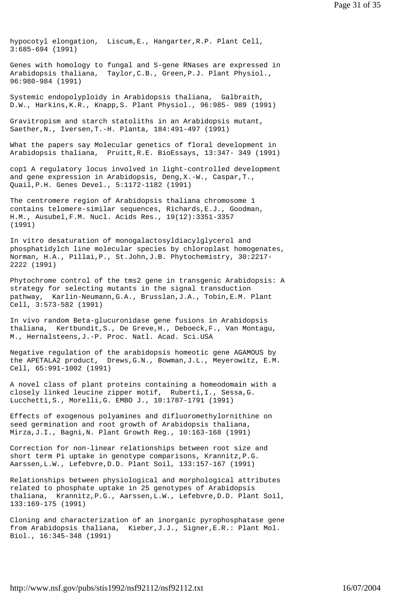hypocotyl elongation, Liscum,E., Hangarter,R.P. Plant Cell, 3:685-694 (1991)

Genes with homology to fungal and S-gene RNases are expressed in Arabidopsis thaliana, Taylor,C.B., Green,P.J. Plant Physiol., 96:980-984 (1991)

Systemic endopolyploidy in Arabidopsis thaliana, Galbraith, D.W., Harkins,K.R., Knapp,S. Plant Physiol., 96:985- 989 (1991)

Gravitropism and starch statoliths in an Arabidopsis mutant, Saether,N., Iversen,T.-H. Planta, 184:491-497 (1991)

What the papers say Molecular genetics of floral development in Arabidopsis thaliana, Pruitt,R.E. BioEssays, 13:347- 349 (1991)

cop1 A regulatory locus involved in light-controlled development and gene expression in Arabidopsis, Deng,X.-W., Caspar,T., Quail,P.H. Genes Devel., 5:1172-1182 (1991)

The centromere region of Arabidopsis thaliana chromosome 1 contains telomere-similar sequences, Richards,E.J., Goodman, H.M., Ausubel,F.M. Nucl. Acids Res., 19(12):3351-3357 (1991)

In vitro desaturation of monogalactosyldiacylglycerol and phosphatidylch line molecular species by chloroplast homogenates, Norman, H.A., Pillai,P., St.John,J.B. Phytochemistry, 30:2217- 2222 (1991)

Phytochrome control of the tms2 gene in transgenic Arabidopsis: A strategy for selecting mutants in the signal transduction pathway, Karlin-Neumann,G.A., Brusslan,J.A., Tobin,E.M. Plant Cell, 3:573-582 (1991)

In vivo random Beta-glucuronidase gene fusions in Arabidopsis thaliana, Kertbundit,S., De Greve,H., Deboeck,F., Van Montagu, M., Hernalsteens,J.-P. Proc. Natl. Acad. Sci.USA

Negative regulation of the arabidopsis homeotic gene AGAMOUS by the APETALA2 product, Drews,G.N., Bowman,J.L., Meyerowitz, E.M. Cell, 65:991-1002 (1991)

A novel class of plant proteins containing a homeodomain with a closely linked leucine zipper motif, Ruberti,I., Sessa,G. Lucchetti,S., Morelli,G. EMBO J., 10:1787-1791 (1991)

Effects of exogenous polyamines and difluoromethylornithine on seed germination and root growth of Arabidopsis thaliana, Mirza,J.I., Bagni,N. Plant Growth Reg., 10:163-168 (1991)

Correction for non-linear relationships between root size and short term Pi uptake in genotype comparisons, Krannitz,P.G. Aarssen,L.W., Lefebvre,D.D. Plant Soil, 133:157-167 (1991)

Relationships between physiological and morphological attributes related to phosphate uptake in 25 genotypes of Arabidopsis thaliana, Krannitz,P.G., Aarssen,L.W., Lefebvre,D.D. Plant Soil, 133:169-175 (1991)

Cloning and characterization of an inorganic pyrophosphatase gene from Arabidopsis thaliana, Kieber,J.J., Signer,E.R.: Plant Mol. Biol., 16:345-348 (1991)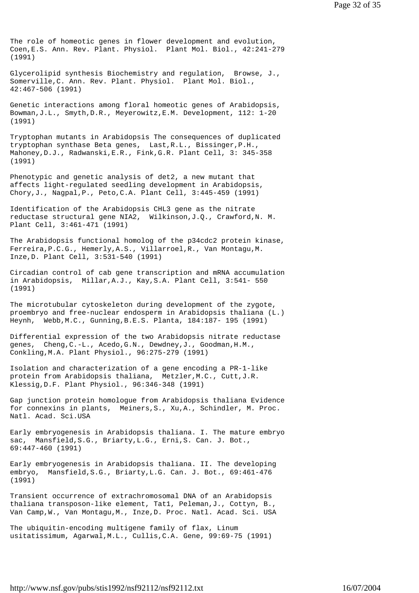The role of homeotic genes in flower development and evolution, Coen,E.S. Ann. Rev. Plant. Physiol. Plant Mol. Biol., 42:241-279 (1991)

Glycerolipid synthesis Biochemistry and regulation, Browse, J., Somerville,C. Ann. Rev. Plant. Physiol. Plant Mol. Biol., 42:467-506 (1991)

Genetic interactions among floral homeotic genes of Arabidopsis, Bowman,J.L., Smyth,D.R., Meyerowitz,E.M. Development, 112: 1-20 (1991)

Tryptophan mutants in Arabidopsis The consequences of duplicated tryptophan synthase Beta genes, Last,R.L., Bissinger,P.H., Mahoney,D.J., Radwanski,E.R., Fink,G.R. Plant Cell, 3: 345-358 (1991)

Phenotypic and genetic analysis of det2, a new mutant that affects light-regulated seedling development in Arabidopsis, Chory,J., Nagpal,P., Peto,C.A. Plant Cell, 3:445-459 (1991)

Identification of the Arabidopsis CHL3 gene as the nitrate reductase structural gene NIA2, Wilkinson,J.Q., Crawford,N. M. Plant Cell, 3:461-471 (1991)

The Arabidopsis functional homolog of the p34cdc2 protein kinase, Ferreira,P.C.G., Hemerly,A.S., Villarroel,R., Van Montagu,M. Inze,D. Plant Cell, 3:531-540 (1991)

Circadian control of cab gene transcription and mRNA accumulation in Arabidopsis, Millar,A.J., Kay,S.A. Plant Cell, 3:541- 550 (1991)

The microtubular cytoskeleton during development of the zygote, proembryo and free-nuclear endosperm in Arabidopsis thaliana (L.) Heynh, Webb,M.C., Gunning,B.E.S. Planta, 184:187- 195 (1991)

Differential expression of the two Arabidopsis nitrate reductase genes, Cheng,C.-L., Acedo,G.N., Dewdney,J., Goodman,H.M., Conkling,M.A. Plant Physiol., 96:275-279 (1991)

Isolation and characterization of a gene encoding a PR-1-like protein from Arabidopsis thaliana, Metzler,M.C., Cutt,J.R. Klessig,D.F. Plant Physiol., 96:346-348 (1991)

Gap junction protein homologue from Arabidopsis thaliana Evidence for connexins in plants, Meiners,S., Xu,A., Schindler, M. Proc. Natl. Acad. Sci.USA

Early embryogenesis in Arabidopsis thaliana. I. The mature embryo sac, Mansfield,S.G., Briarty,L.G., Erni,S. Can. J. Bot., 69:447-460 (1991)

Early embryogenesis in Arabidopsis thaliana. II. The developing embryo, Mansfield,S.G., Briarty,L.G. Can. J. Bot., 69:461-476 (1991)

Transient occurrence of extrachromosomal DNA of an Arabidopsis thaliana transposon-like element, Tat1, Peleman,J., Cottyn, B., Van Camp,W., Van Montagu,M., Inze,D. Proc. Natl. Acad. Sci. USA

The ubiquitin-encoding multigene family of flax, Linum usitatissimum, Agarwal,M.L., Cullis,C.A. Gene, 99:69-75 (1991)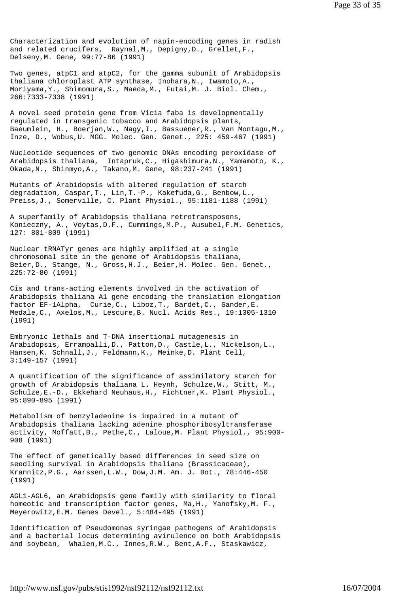Characterization and evolution of napin-encoding genes in radish and related crucifers, Raynal,M., Depigny,D., Grellet,F., Delseny,M. Gene, 99:77-86 (1991)

Two genes, atpC1 and atpC2, for the gamma subunit of Arabidopsis thaliana chloroplast ATP synthase, Inohara,N., Iwamoto,A., Moriyama,Y., Shimomura,S., Maeda,M., Futai,M. J. Biol. Chem., 266:7333-7338 (1991)

A novel seed protein gene from Vicia faba is developmentally regulated in transgenic tobacco and Arabidopsis plants, Baeumlein, H., Boerjan,W., Nagy,I., Bassuener,R., Van Montagu,M., Inze, D., Wobus,U. MGG. Molec. Gen. Genet., 225: 459-467 (1991)

Nucleotide sequences of two genomic DNAs encoding peroxidase of Arabidopsis thaliana, Intapruk,C., Higashimura,N., Yamamoto, K., Okada,N., Shinmyo,A., Takano,M. Gene, 98:237-241 (1991)

Mutants of Arabidopsis with altered regulation of starch degradation, Caspar,T., Lin,T.-P., Kakefuda,G., Benbow,L., Preiss,J., Somerville, C. Plant Physiol., 95:1181-1188 (1991)

A superfamily of Arabidopsis thaliana retrotransposons, Konieczny, A., Voytas,D.F., Cummings,M.P., Ausubel,F.M. Genetics, 127: 801-809 (1991)

Nuclear tRNATyr genes are highly amplified at a single chromosomal site in the genome of Arabidopsis thaliana, Beier,D., Stange, N., Gross,H.J., Beier,H. Molec. Gen. Genet., 225:72-80 (1991)

Cis and trans-acting elements involved in the activation of Arabidopsis thaliana A1 gene encoding the translation elongation factor EF-1Alpha, Curie,C., Liboz,T., Bardet,C., Gander,E. Medale,C., Axelos,M., Lescure,B. Nucl. Acids Res., 19:1305-1310 (1991)

Embryonic lethals and T-DNA insertional mutagenesis in Arabidopsis, Errampalli,D., Patton,D., Castle,L., Mickelson,L., Hansen,K. Schnall,J., Feldmann,K., Meinke,D. Plant Cell, 3:149-157 (1991)

A quantification of the significance of assimilatory starch for growth of Arabidopsis thaliana L. Heynh, Schulze,W., Stitt, M., Schulze,E.-D., Ekkehard Neuhaus,H., Fichtner,K. Plant Physiol., 95:890-895 (1991)

Metabolism of benzyladenine is impaired in a mutant of Arabidopsis thaliana lacking adenine phosphoribosyltransferase activity, Moffatt,B., Pethe,C., Laloue,M. Plant Physiol., 95:900- 908 (1991)

The effect of genetically based differences in seed size on seedling survival in Arabidopsis thaliana (Brassicaceae), Krannitz,P.G., Aarssen,L.W., Dow,J.M. Am. J. Bot., 78:446-450 (1991)

AGL1-AGL6, an Arabidopsis gene family with similarity to floral homeotic and transcription factor genes, Ma,H., Yanofsky,M. F., Meyerowitz,E.M. Genes Devel., 5:484-495 (1991)

Identification of Pseudomonas syringae pathogens of Arabidopsis and a bacterial locus determining avirulence on both Arabidopsis and soybean, Whalen,M.C., Innes,R.W., Bent,A.F., Staskawicz,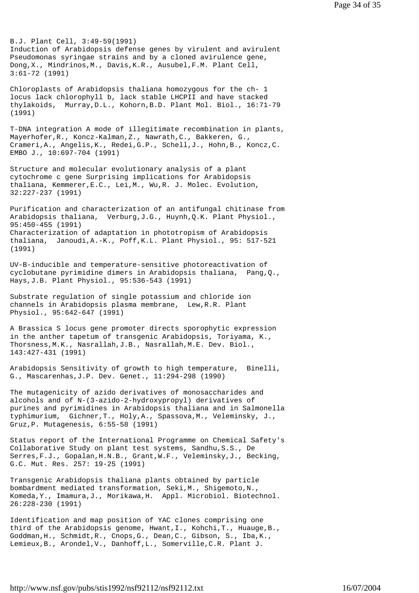B.J. Plant Cell, 3:49-59(1991) Induction of Arabidopsis defense genes by virulent and avirulent Pseudomonas syringae strains and by a cloned avirulence gene, Dong,X., Mindrinos,M., Davis,K.R., Ausubel,F.M. Plant Cell, 3:61-72 (1991)

Chloroplasts of Arabidopsis thaliana homozygous for the ch- 1 locus lack chlorophyll b, lack stable LHCPII and have stacked thylakoids, Murray,D.L., Kohorn,B.D. Plant Mol. Biol., 16:71-79 (1991)

T-DNA integration A mode of illegitimate recombination in plants, Mayerhofer,R., Koncz-Kalman,Z., Nawrath,C., Bakkeren, G., Crameri,A., Angelis,K., Redei,G.P., Schell,J., Hohn,B., Koncz,C. EMBO J., 10:697-704 (1991)

Structure and molecular evolutionary analysis of a plant cytochrome c gene Surprising implications for Arabidopsis thaliana, Kemmerer,E.C., Lei,M., Wu,R. J. Molec. Evolution, 32:227-237 (1991)

Purification and characterization of an antifungal chitinase from Arabidopsis thaliana, Verburg,J.G., Huynh,Q.K. Plant Physiol., 95:450-455 (1991) Characterization of adaptation in phototropism of Arabidopsis thaliana, Janoudi,A.-K., Poff,K.L. Plant Physiol., 95: 517-521 (1991)

UV-B-inducible and temperature-sensitive photoreactivation of cyclobutane pyrimidine dimers in Arabidopsis thaliana, Pang,Q., Hays,J.B. Plant Physiol., 95:536-543 (1991)

Substrate regulation of single potassium and chloride ion channels in Arabidopsis plasma membrane, Lew,R.R. Plant Physiol., 95:642-647 (1991)

A Brassica S locus gene promoter directs sporophytic expression in the anther tapetum of transgenic Arabidopsis, Toriyama, K., Thorsness,M.K., Nasrallah,J.B., Nasrallah,M.E. Dev. Biol., 143:427-431 (1991)

Arabidopsis Sensitivity of growth to high temperature, Binelli, G., Mascarenhas,J.P. Dev. Genet., 11:294-298 (1990)

The mutagenicity of azido derivatives of monosaccharides and alcohols and of N-(3-azido-2-hydroxypropyl) derivatives of purines and pyrimidines in Arabidopsis thaliana and in Salmonella typhimurium, Gichner,T., Holy,A., Spassova,M., Veleminsky, J., Gruz,P. Mutagenesis, 6:55-58 (1991)

Status report of the International Programme on Chemical Safety's Collaborative Study on plant test systems, Sandhu,S.S., De Serres,F.J., Gopalan,H.N.B., Grant,W.F., Veleminsky,J., Becking, G.C. Mut. Res. 257: 19-25 (1991)

Transgenic Arabidopsis thaliana plants obtained by particle bombardment mediated transformation, Seki,M., Shigemoto,N., Komeda,Y., Imamura,J., Morikawa,H. Appl. Microbiol. Biotechnol. 26:228-230 (1991)

Identification and map position of YAC clones comprising one third of the Arabidopsis genome, Hwant,I., Kohchi,T., Huauge,B., Goddman,H., Schmidt,R., Cnops,G., Dean,C., Gibson, S., Iba,K., Lemieux,B., Arondel,V., Danhoff,L., Somerville,C.R. Plant J.